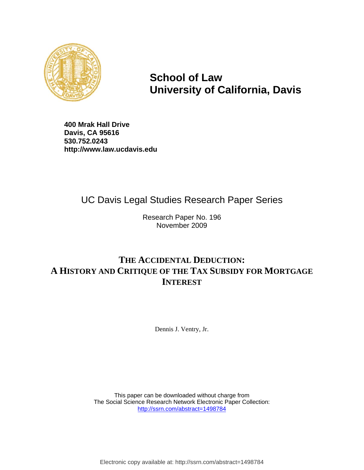

**School of Law University of California, Davis**

**400 Mrak Hall Drive Davis, CA 95616 530.752.0243 http://www.law.ucdavis.edu**

# UC Davis Legal Studies Research Paper Series

 Research Paper No. 196 November 2009

# **THE ACCIDENTAL DEDUCTION: A HISTORY AND CRITIQUE OF THE TAX SUBSIDY FOR MORTGAGE INTEREST**

Dennis J. Ventry, Jr.

 This paper can be downloaded without charge from The Social Science Research Network Electronic Paper Collection: http://ssrn.com/abstract=1498784

Electronic copy available at: http://ssrn.com/abstract=1498784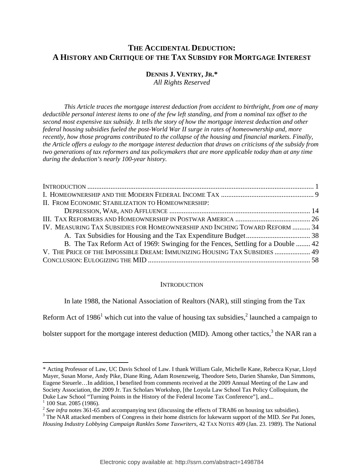# **THE ACCIDENTAL DEDUCTION: A HISTORY AND CRITIQUE OF THE TAX SUBSIDY FOR MORTGAGE INTEREST**

# **DENNIS J. VENTRY, JR.\***

*All Rights Reserved* 

*This Article traces the mortgage interest deduction from accident to birthright, from one of many deductible personal interest items to one of the few left standing, and from a nominal tax offset to the second most expensive tax subsidy. It tells the story of how the mortgage interest deduction and other federal housing subsidies fueled the post-World War II surge in rates of homeownership and, more recently, how those programs contributed to the collapse of the housing and financial markets. Finally, the Article offers a eulogy to the mortgage interest deduction that draws on criticisms of the subsidy from two generations of tax reformers and tax policymakers that are more applicable today than at any time during the deduction's nearly 100-year history.* 

| II. FROM ECONOMIC STABILIZATION TO HOMEOWNERSHIP:                                 |  |
|-----------------------------------------------------------------------------------|--|
|                                                                                   |  |
|                                                                                   |  |
| IV. MEASURING TAX SUBSIDIES FOR HOMEOWNERSHIP AND INCHING TOWARD REFORM  34       |  |
|                                                                                   |  |
| B. The Tax Reform Act of 1969: Swinging for the Fences, Settling for a Double  42 |  |
| V. THE PRICE OF THE IMPOSSIBLE DREAM: IMMUNIZING HOUSING TAX SUBSIDIES  49        |  |
|                                                                                   |  |

#### **INTRODUCTION**

In late 1988, the National Association of Realtors (NAR), still stinging from the Tax

Reform Act of 1986<sup>1</sup> which cut into the value of housing tax subsidies,<sup>2</sup> launched a campaign to

bolster support for the mortgage interest deduction (MID). Among other tactics,<sup>3</sup> the NAR ran a

<sup>\*</sup> Acting Professor of Law, UC Davis School of Law. I thank William Gale, Michelle Kane, Rebecca Kysar, Lloyd Mayer, Susan Morse, Andy Pike, Diane Ring, Adam Rosenzweig, Theodore Seto, Darien Shanske, Dan Simmons, Eugene Steuerle…In addition, I benefited from comments received at the 2009 Annual Meeting of the Law and Society Association, the 2009 Jr. Tax Scholars Workshop, [the Loyola Law School Tax Policy Colloquium, the Duke Law School "Turning Points in the History of the Federal Income Tax Conference"], and... 1

 $1$  100 Stat. 2085 (1986).

<sup>&</sup>lt;sup>2</sup> See infra notes 361-65 and accompanying text (discussing the effects of TRA86 on housing tax subsidies).

The NAR attacked members of Congress in their home districts for lukewarm support of the MID. *See* Pat Jones, *Housing Industry Lobbying Campaign Rankles Some Taxwriters*, 42 TAX NOTES 409 (Jan. 23. 1989). The National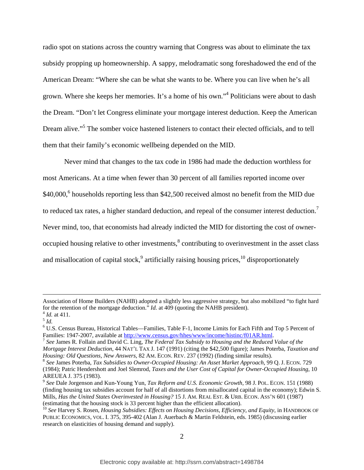radio spot on stations across the country warning that Congress was about to eliminate the tax subsidy propping up homeownership. A sappy, melodramatic song foreshadowed the end of the American Dream: "Where she can be what she wants to be. Where you can live when he's all grown. Where she keeps her memories. It's a home of his own."<sup>4</sup> Politicians were about to dash the Dream. "Don't let Congress eliminate your mortgage interest deduction. Keep the American Dream alive."<sup>5</sup> The somber voice hastened listeners to contact their elected officials, and to tell them that their family's economic wellbeing depended on the MID.

Never mind that changes to the tax code in 1986 had made the deduction worthless for most Americans. At a time when fewer than 30 percent of all families reported income over \$40,000,<sup>6</sup> households reporting less than \$42,500 received almost no benefit from the MID due to reduced tax rates, a higher standard deduction, and repeal of the consumer interest deduction.<sup>7</sup> Never mind, too, that economists had already indicted the MID for distorting the cost of owneroccupied housing relative to other investments, $\frac{8}{3}$  contributing to overinvestment in the asset class and misallocation of capital stock, $9$  artificially raising housing prices,  $10$  disproportionately

Association of Home Builders (NAHB) adopted a slightly less aggressive strategy, but also mobilized "to fight hard for the retention of the mortgage deduction." *Id.* at 409 (quoting the NAHB president).<br><sup>4</sup> *Id.* at 411.<br><sup>5</sup> *Id.* 

<sup>&</sup>lt;sup>6</sup> U.S. Census Bureau, Historical Tables—Families, Table F-1, Income Limits for Each Fifth and Top 5 Percent of Families: 1947-2007, available at  $\frac{http://www.census.gov/hhes/www/income/histinc/f01AR.html}{http://www.census.gov/hhes/www/income/histinc/f01AR.html}$ .

<sup>&</sup>lt;sup>7</sup> See James R. Follain and David C. Ling, *The Federal Tax Subsidy to Housing and the Reduced Value of the Mortgage Interest Deduction*, 44 NAT'L TAX J. 147 (1991) (citing the \$42,500 figure); James Poterba, *Taxation and Housing: Old Questions, New Answers, 82 AM. ECON. REV. 237 (1992) (finding similar results).* 8 *See James Poterba, <i>Tax Subsidies to Owner-Occupied Housing: An Asset Market Approach, 99 Q. J. ECON. 729* 

<sup>(1984);</sup> Patric Hendershott and Joel Slemrod, *Taxes and the User Cost of Capital for Owner-Occupied Housing*, 10 AREUEA J. 375 (1983).<br><sup>9</sup> See Dale Jorgenson and Kun-Young Yun, *Tax Reform and U.S. Economic Growth*, 98 J. Pol. ECON. 151 (1988)

<sup>(</sup>finding housing tax subsidies account for half of all distortions from misallocated capital in the economy); Edwin S. Mills, *Has the United States Overinvested in Housing?* 15 J. AM. REAL EST. & URB. ECON. ASS'N 601 (1987) (estimating that the housing stock is 33 percent higher than the efficient allocation).

<sup>10</sup> *See* Harvey S. Rosen, *Housing Subsidies: Effects on Housing Decisions, Efficiency, and Equity*, in HANDBOOK OF PUBLIC ECONOMICS, VOL. I. 375, 395-402 (Alan J. Auerbach & Martin Feldstein, eds. 1985) (discussing earlier research on elasticities of housing demand and supply).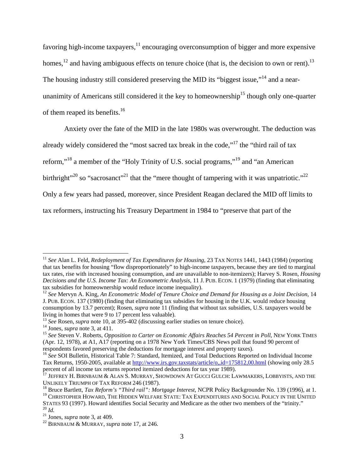favoring high-income taxpayers, $11$  encouraging overconsumption of bigger and more expensive homes,<sup>12</sup> and having ambiguous effects on tenure choice (that is, the decision to own or rent).<sup>13</sup> The housing industry still considered preserving the MID its "biggest issue."<sup>14</sup> and a nearunanimity of Americans still considered it the key to homeownership<sup>15</sup> though only one-quarter of them reaped its benefits.<sup>16</sup>

Anxiety over the fate of the MID in the late 1980s was overwrought. The deduction was

already widely considered the "most sacred tax break in the code,"<sup>17</sup> the "third rail of tax

reform,"18 a member of the "Holy Trinity of U.S. social programs,"19 and "an American

birthright"<sup>20</sup> so "sacrosanct"<sup>21</sup> that the "mere thought of tampering with it was unpatriotic."<sup>22</sup>

Only a few years had passed, moreover, since President Reagan declared the MID off limits to

tax reformers, instructing his Treasury Department in 1984 to "preserve that part of the

<sup>&</sup>lt;sup>11</sup> *See* Alan L. Feld, *Redeployment of Tax Expenditures for Housing*, 23 TAX NOTES 1441, 1443 (1984) (reporting that tax benefits for housing "flow disproportionately" to high-income taxpayers, because they are tied to marginal tax rates, rise with increased housing consumption, and are unavailable to non-itemizers); Harvey S. Rosen, *Housing Decisions and the U.S. Income Tax: An Econometric Analysis*, 11 J. PUB. ECON. 1 (1979) (finding that eliminating tax subsidies for homeownership would reduce income inequality).

<sup>12</sup> *See* Mervyn A. King, *An Econometric Model of Tenure Choice and Demand for Housing as a Joint Decision*, 14 J. PUB. ECON. 137 (1980) (finding that eliminating tax subsidies for housing in the U.K. would reduce housing consumption by 13.7 percent); Rosen, *supra* note 11 (finding that without tax subsidies, U.S. taxpayers would be living in homes that were 9 to 17 percent less valuable).<br><sup>13</sup> See Rosen, *supra* note 10, at 395-402 (discussing earlier studies on tenure choice).

<sup>&</sup>lt;sup>14</sup> Jones, *supra* note 3, at 411.<br><sup>15</sup> See Steven V. Roberts, *Opposition to Carter on Economic Affairs Reaches 54 Percent in Poll*, NEW YORK TIMES (Apr. 12, 1978), at A1, A17 (reporting on a 1978 New York Times/CBS News poll that found 90 percent of respondents favored preserving the deductions for mortgage interest and property taxes).

<sup>&</sup>lt;sup>16</sup> See SOI Bulletin, Historical Table 7: Standard, Itemized, and Total Deductions Reported on Individual Income Tax Returns, 1950-2005, available at http://www.irs.gov.taxstats/article/o,,id=175812,00.html (showing only 28.5 percent of all income tax returns reported itemized deductions for tax year 1989).

 $17$  Jeffrey H. Birnbaum & Alan S. Murray, Showdown At Gucci Gulch: Lawmakers, Lobbyists, and the Unlikely Triumph of Tax Reform 246 (1987).

<sup>&</sup>lt;sup>18</sup> Bruce Bartlett, *Tax Reform's "Third rail": Mortgage Interest*, NCPR Policy Backgrounder No. 139 (1996), at 1. <sup>19</sup> CHRISTOPHER HOWARD, THE HIDDEN WELFARE STATE: TAX EXPENDITURES AND SOCIAL POLICY IN THE UNITED

STATES 93 (1997). Howard identifies Social Security and Medicare as the other two members of the "trinity."<br><sup>21</sup> *Id.* 21 Jones, *supra* note 3, at 409. <sup>22</sup> BIRNBAUM & MURRAY, *supra* note 17, at 246.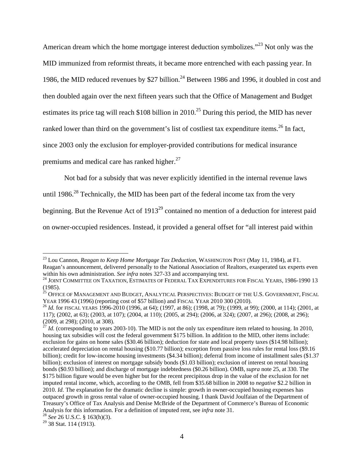American dream which the home mortgage interest deduction symbolizes.<sup>"23</sup> Not only was the MID immunized from reformist threats, it became more entrenched with each passing year. In 1986, the MID reduced revenues by \$27 billion.<sup>24</sup> Between 1986 and 1996, it doubled in cost and then doubled again over the next fifteen years such that the Office of Management and Budget estimates its price tag will reach \$108 billion in 2010.<sup>25</sup> During this period, the MID has never ranked lower than third on the government's list of costliest tax expenditure items.<sup>26</sup> In fact, since 2003 only the exclusion for employer-provided contributions for medical insurance premiums and medical care has ranked higher.<sup>27</sup>

Not bad for a subsidy that was never explicitly identified in the internal revenue laws

until 1986.<sup>28</sup> Technically, the MID has been part of the federal income tax from the very

beginning. But the Revenue Act of  $1913^{29}$  contained no mention of a deduction for interest paid

on owner-occupied residences. Instead, it provided a general offset for "all interest paid within

<sup>23</sup> Lou Cannon, *Reagan to Keep Home Mortgage Tax Deduction*, WASHINGTON POST (May 11, 1984), at F1. Reagan's announcement, delivered personally to the National Association of Realtors, exasperated tax experts even within his own administration. *See infra* notes 327-33 and accompanying text.<br><sup>24</sup> JOINT COMMITTEE ON TAXATION, ESTIMATES OF FEDERAL TAX EXPENDITURES FOR FISCAL YEARS, 1986-1990 13

<sup>(1985).</sup> 

 $^{25}$  Office of Management and Budget, Analytical Perspectives: Budget of the U.S. Government, Fiscal YEAR 1996 <sup>43</sup> (1996) (reporting cost of \$57 billion) and FISCAL YEAR 2010 300 (2010). 26 *Id.* for FISCAL YEARS 1996-2010 (1996, at 64); (1997, at 86); (1998, at 79); (1999, at 99); (2000, at 114); (2001, at

<sup>117); (2002,</sup> at 63); (2003, at 107); (2004, at 110); (2005, at 294); (2006, at 324); (2007, at 296); (2008, at 296); (2009, at 298); (2010, at 308).

 $^{27}$  *Id.* (corresponding to years 2003-10). The MID is not the only tax expenditure item related to housing. In 2010, housing tax subsidies will cost the federal government \$175 billion. In addition to the MID, other items include: exclusion for gains on home sales (\$30.46 billion); deduction for state and local property taxes (\$14.98 billion); accelerated depreciation on rental housing (\$10.77 billion); exception from passive loss rules for rental loss (\$9.16 billion); credit for low-income housing investments (\$4.34 billion); deferral from income of installment sales (\$1.37 billion); exclusion of interest on mortgage subsidy bonds (\$1.03 billion); exclusion of interest on rental housing bonds (\$0.93 billion); and discharge of mortgage indebtedness (\$0.26 billion). OMB, *supra* note 25, at 330. The \$175 billion figure would be even higher but for the recent precipitous drop in the value of the exclusion for net imputed rental income, which, according to the OMB, fell from \$35.68 billion in 2008 to *negative* \$2.2 billion in 2010. *Id.* The explanation for the dramatic decline is simple: growth in owner-occupied housing expenses has outpaced growth in gross rental value of owner-occupied housing. I thank David Joulfaian of the Department of Treasury's Office of Tax Analysis and Denise McBride of the Department of Commerce's Bureau of Economic Analysis for this information. For a definition of imputed rent, see *infra* note 31. 28 *See* 26 U.S.C. § 163(h)(3).

<sup>&</sup>lt;sup>29</sup> 38 Stat. 114 (1913).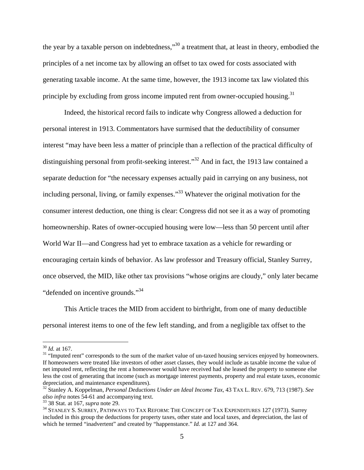the year by a taxable person on indebtedness,"30 a treatment that, at least in theory, embodied the principles of a net income tax by allowing an offset to tax owed for costs associated with generating taxable income. At the same time, however, the 1913 income tax law violated this principle by excluding from gross income imputed rent from owner-occupied housing.<sup>31</sup>

Indeed, the historical record fails to indicate why Congress allowed a deduction for personal interest in 1913. Commentators have surmised that the deductibility of consumer interest "may have been less a matter of principle than a reflection of the practical difficulty of distinguishing personal from profit-seeking interest."<sup>32</sup> And in fact, the 1913 law contained a separate deduction for "the necessary expenses actually paid in carrying on any business, not including personal, living, or family expenses."<sup>33</sup> Whatever the original motivation for the consumer interest deduction, one thing is clear: Congress did not see it as a way of promoting homeownership. Rates of owner-occupied housing were low—less than 50 percent until after World War II—and Congress had yet to embrace taxation as a vehicle for rewarding or encouraging certain kinds of behavior. As law professor and Treasury official, Stanley Surrey, once observed, the MID, like other tax provisions "whose origins are cloudy," only later became "defended on incentive grounds."34

This Article traces the MID from accident to birthright, from one of many deductible personal interest items to one of the few left standing, and from a negligible tax offset to the

 $\frac{30}{31}$  *Id.* at 167. The sum of the sum of the market value of un-taxed housing services enjoyed by homeowners. If homeowners were treated like investors of other asset classes, they would include as taxable income the value of net imputed rent, reflecting the rent a homeowner would have received had she leased the property to someone else less the cost of generating that income (such as mortgage interest payments, property and real estate taxes, economic depreciation, and maintenance expenditures).

<sup>32</sup> Stanley A. Koppelman, *Personal Deductions Under an Ideal Income Tax*, 43 TAX L. REV. 679, 713 (1987). *See* 

<sup>&</sup>lt;sup>33</sup> 38 Stat. at 167, *supra* note 29. **34**<br><sup>34</sup> STANLEY S. SURREY, PATHWAYS TO TAX REFORM: THE CONCEPT OF TAX EXPENDITURES 127 (1973). Surrey included in this group the deductions for property taxes, other state and local taxes, and depreciation, the last of which he termed "inadvertent" and created by "happenstance." *Id.* at 127 and 364.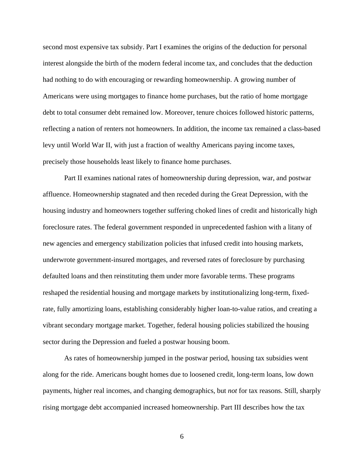second most expensive tax subsidy. Part I examines the origins of the deduction for personal interest alongside the birth of the modern federal income tax, and concludes that the deduction had nothing to do with encouraging or rewarding homeownership. A growing number of Americans were using mortgages to finance home purchases, but the ratio of home mortgage debt to total consumer debt remained low. Moreover, tenure choices followed historic patterns, reflecting a nation of renters not homeowners. In addition, the income tax remained a class-based levy until World War II, with just a fraction of wealthy Americans paying income taxes, precisely those households least likely to finance home purchases.

Part II examines national rates of homeownership during depression, war, and postwar affluence. Homeownership stagnated and then receded during the Great Depression, with the housing industry and homeowners together suffering choked lines of credit and historically high foreclosure rates. The federal government responded in unprecedented fashion with a litany of new agencies and emergency stabilization policies that infused credit into housing markets, underwrote government-insured mortgages, and reversed rates of foreclosure by purchasing defaulted loans and then reinstituting them under more favorable terms. These programs reshaped the residential housing and mortgage markets by institutionalizing long-term, fixedrate, fully amortizing loans, establishing considerably higher loan-to-value ratios, and creating a vibrant secondary mortgage market. Together, federal housing policies stabilized the housing sector during the Depression and fueled a postwar housing boom.

As rates of homeownership jumped in the postwar period, housing tax subsidies went along for the ride. Americans bought homes due to loosened credit, long-term loans, low down payments, higher real incomes, and changing demographics, but *not* for tax reasons. Still, sharply rising mortgage debt accompanied increased homeownership. Part III describes how the tax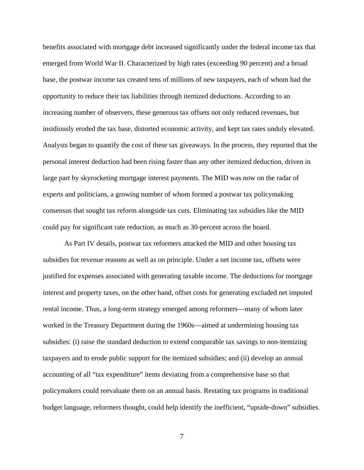benefits associated with mortgage debt increased significantly under the federal income tax that emerged from World War II. Characterized by high rates (exceeding 90 percent) and a broad base, the postwar income tax created tens of millions of new taxpayers, each of whom had the opportunity to reduce their tax liabilities through itemized deductions. According to an increasing number of observers, these generous tax offsets not only reduced revenues, but insidiously eroded the tax base, distorted economic activity, and kept tax rates unduly elevated. Analysts began to quantify the cost of these tax giveaways. In the process, they reported that the personal interest deduction had been rising faster than any other itemized deduction, driven in large part by skyrocketing mortgage interest payments. The MID was now on the radar of experts and politicians, a growing number of whom formed a postwar tax policymaking consensus that sought tax reform alongside tax cuts. Eliminating tax subsidies like the MID could pay for significant rate reduction, as much as 30-percent across the board.

As Part IV details, postwar tax reformers attacked the MID and other housing tax subsidies for revenue reasons as well as on principle. Under a net income tax, offsets were justified for expenses associated with generating taxable income. The deductions for mortgage interest and property taxes, on the other hand, offset costs for generating excluded net imputed rental income. Thus, a long-term strategy emerged among reformers—many of whom later worked in the Treasury Department during the 1960s—aimed at undermining housing tax subsidies: (i) raise the standard deduction to extend comparable tax savings to non-itemizing taxpayers and to erode public support for the itemized subsidies; and (ii) develop an annual accounting of all "tax expenditure" items deviating from a comprehensive base so that policymakers could reevaluate them on an annual basis. Restating tax programs in traditional budget language, reformers thought, could help identify the inefficient, "upside-down" subsidies.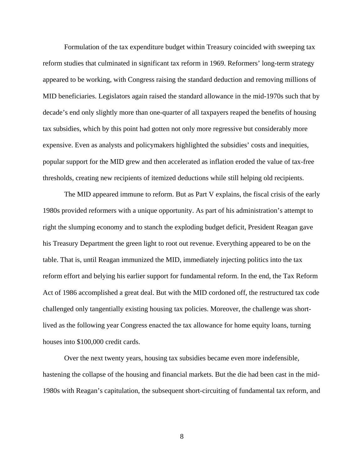Formulation of the tax expenditure budget within Treasury coincided with sweeping tax reform studies that culminated in significant tax reform in 1969. Reformers' long-term strategy appeared to be working, with Congress raising the standard deduction and removing millions of MID beneficiaries. Legislators again raised the standard allowance in the mid-1970s such that by decade's end only slightly more than one-quarter of all taxpayers reaped the benefits of housing tax subsidies, which by this point had gotten not only more regressive but considerably more expensive. Even as analysts and policymakers highlighted the subsidies' costs and inequities, popular support for the MID grew and then accelerated as inflation eroded the value of tax-free thresholds, creating new recipients of itemized deductions while still helping old recipients.

The MID appeared immune to reform. But as Part V explains, the fiscal crisis of the early 1980s provided reformers with a unique opportunity. As part of his administration's attempt to right the slumping economy and to stanch the exploding budget deficit, President Reagan gave his Treasury Department the green light to root out revenue. Everything appeared to be on the table. That is, until Reagan immunized the MID, immediately injecting politics into the tax reform effort and belying his earlier support for fundamental reform. In the end, the Tax Reform Act of 1986 accomplished a great deal. But with the MID cordoned off, the restructured tax code challenged only tangentially existing housing tax policies. Moreover, the challenge was shortlived as the following year Congress enacted the tax allowance for home equity loans, turning houses into \$100,000 credit cards.

Over the next twenty years, housing tax subsidies became even more indefensible, hastening the collapse of the housing and financial markets. But the die had been cast in the mid-1980s with Reagan's capitulation, the subsequent short-circuiting of fundamental tax reform, and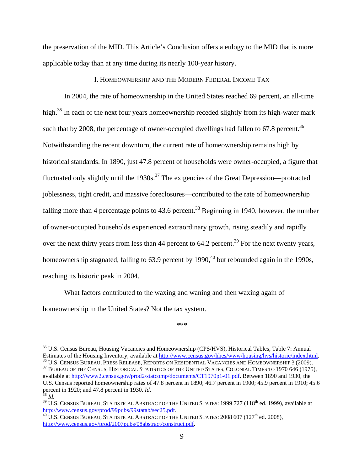the preservation of the MID. This Article's Conclusion offers a eulogy to the MID that is more applicable today than at any time during its nearly 100-year history.

## I. HOMEOWNERSHIP AND THE MODERN FEDERAL INCOME TAX

In 2004, the rate of homeownership in the United States reached 69 percent, an all-time high.<sup>35</sup> In each of the next four years homeownership receded slightly from its high-water mark such that by 2008, the percentage of owner-occupied dwellings had fallen to  $67.8$  percent.<sup>36</sup> Notwithstanding the recent downturn, the current rate of homeownership remains high by historical standards. In 1890, just 47.8 percent of households were owner-occupied, a figure that fluctuated only slightly until the  $1930s$ <sup>37</sup>. The exigencies of the Great Depression—protracted joblessness, tight credit, and massive foreclosures—contributed to the rate of homeownership falling more than 4 percentage points to  $43.6$  percent.<sup>38</sup> Beginning in 1940, however, the number of owner-occupied households experienced extraordinary growth, rising steadily and rapidly over the next thirty years from less than 44 percent to  $64.2$  percent.<sup>39</sup> For the next twenty years, homeownership stagnated, falling to  $63.9$  percent by 1990,<sup>40</sup> but rebounded again in the 1990s, reaching its historic peak in 2004.

What factors contributed to the waxing and waning and then waxing again of homeownership in the United States? Not the tax system.

<sup>\*\*\*</sup> 

<sup>&</sup>lt;sup>35</sup> U.S. Census Bureau, Housing Vacancies and Homeownership (CPS/HVS), Historical Tables, Table 7: Annual Estimates of the Housing Inventory, available at  $\frac{http://www.census.gov/hhes/www/housing/hvs/historic/index.html.$ 

 $^{36}$  U.S. Census Bureau, Press Release, Reports on Residential Vacancies and Homeownership 3 (2009).<br><sup>37</sup> Bureau of the Census, Historical Statistics of the United States, Colonial Times to 1970 646 (1975), available at http://www2.census.gov/prod2/statcomp/documents/CT1970p1-01.pdf. Between 1890 and 1930, the U.S. Census reported homeownership rates of 47.8 percent in 1890; 46.7 percent in 1900; 45.9 percent in 1910; 45.6 percent in 1920; and 47.8 percent in 1930. *Id.* 

<sup>&</sup>lt;sup>38</sup> Id.<br><sup>39</sup> U.S. Census Bureau, Statistical Abstract of the United States: 1999 727 (118<sup>th</sup> ed. 1999), available at<br>http://www.census.gov/prod/99pubs/99statab/sec25.pdf.

<sup>&</sup>lt;sup>40</sup> U.S. CENSUS BUREAU, STATISTICAL ABSTRACT OF THE UNITED STATES: 2008 607 (127<sup>th</sup> ed. 2008), http://www.census.gov/prod/2007pubs/08abstract/construct.pdf.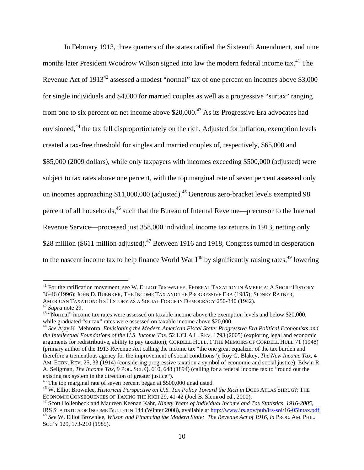In February 1913, three quarters of the states ratified the Sixteenth Amendment, and nine months later President Woodrow Wilson signed into law the modern federal income tax.<sup>41</sup> The Revenue Act of 1913<sup>42</sup> assessed a modest "normal" tax of one percent on incomes above \$3,000 for single individuals and \$4,000 for married couples as well as a progressive "surtax" ranging from one to six percent on net income above \$20,000.<sup>43</sup> As its Progressive Era advocates had envisioned,<sup>44</sup> the tax fell disproportionately on the rich. Adjusted for inflation, exemption levels created a tax-free threshold for singles and married couples of, respectively, \$65,000 and \$85,000 (2009 dollars), while only taxpayers with incomes exceeding \$500,000 (adjusted) were subject to tax rates above one percent, with the top marginal rate of seven percent assessed only on incomes approaching \$11,000,000 (adjusted).<sup>45</sup> Generous zero-bracket levels exempted 98 percent of all households,<sup>46</sup> such that the Bureau of Internal Revenue—precursor to the Internal Revenue Service—processed just 358,000 individual income tax returns in 1913, netting only \$28 million (\$611 million adjusted).<sup>47</sup> Between 1916 and 1918, Congress turned in desperation to the nascent income tax to help finance World War  $I^{48}$  by significantly raising rates,  $49$  lowering

<sup>&</sup>lt;sup>41</sup> For the ratification movement, see W. ELLIOT BROWNLEE, FEDERAL TAXATION IN AMERICA: A SHORT HISTORY 36-46 (1996); JOHN D. BUENKER, THE INCOME TAX AND THE PROGRESSIVE ERA (1985); SIDNEY RATNER, AMERICAN TAXATION: ITS HISTORY AS A SOCIAL FORCE IN DEMOCRACY 250-340 (1942).<br><sup>42</sup> *Supra* note 29.<br><sup>43</sup> "Normal" income tax rates were assessed on taxable income above the exemption levels and below \$20,000,

while graduated "surtax" rates were assessed on taxable income above \$20,000.

<sup>44</sup> *See* Ajay K. Mehrotra, *Envisioning the Modern American Fiscal State: Progressive Era Political Economists and the Intellectual Foundations of the U.S. Income Tax*, 52 UCLA L. REV. 1793 (2005) (exploring legal and economic arguments for redistributive, ability to pay taxation); CORDELL HULL, 1 THE MEMOIRS OF CORDELL HULL 71 (1948) (primary author of the 1913 Revenue Act calling the income tax "the one great equalizer of the tax burden and therefore a tremendous agency for the improvement of social conditions"); Roy G. Blakey, *The New Income Tax*, 4 AM. ECON. REV. 25, 33 (1914) (considering progressive taxation a symbol of economic and social justice); Edwin R. A. Seligman, *The Income Tax*, 9 POL. SCI. Q. 610, 648 (1894) (calling for a federal income tax to "round out the existing tax system in the direction of greater justice").<br><sup>45</sup> The top marginal rate of seven percent began at \$500,000 unadjusted.

<sup>&</sup>lt;sup>46</sup> W. Elliot Brownlee, *Historical Perspective on U.S. Tax Policy Toward the Rich in* DOES ATLAS SHRUG?: THE ECONOMIC CONSEQUENCES OF TAXING THE RICH 29, 41-42 (Joel B. Slemrod ed., 2000).

<sup>&</sup>lt;sup>47</sup> Scott Hollenbeck and Maureen Keenan Kahr, *Ninety Years of Individual Income and Tax Statistics, 1916-2005,*<br>IRS STATISTICS OF INCOME BULLETIN 144 (Winter 2008), available at http://www.irs.gov/pub/irs-soi/16-05intax. <sup>48</sup> See W. Elliot Brownlee, *Wilson and Financing the Modern State: The Revenue Act of 1916, in PROC. AM. PHIL.* 

SOC'Y 129, 173-210 (1985).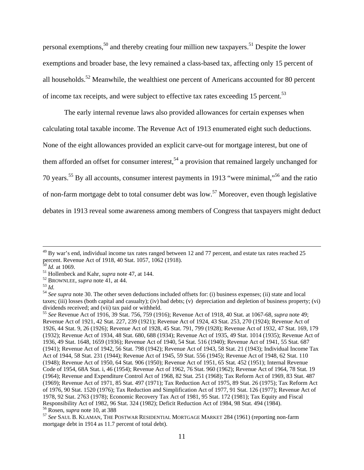personal exemptions,<sup>50</sup> and thereby creating four million new taxpayers.<sup>51</sup> Despite the lower exemptions and broader base, the levy remained a class-based tax, affecting only 15 percent of all households.<sup>52</sup> Meanwhile, the wealthiest one percent of Americans accounted for 80 percent of income tax receipts, and were subject to effective tax rates exceeding 15 percent.<sup>53</sup>

The early internal revenue laws also provided allowances for certain expenses when calculating total taxable income. The Revenue Act of 1913 enumerated eight such deductions. None of the eight allowances provided an explicit carve-out for mortgage interest, but one of them afforded an offset for consumer interest,<sup>54</sup> a provision that remained largely unchanged for 70 years.55 By all accounts, consumer interest payments in 1913 "were minimal,"56 and the ratio of non-farm mortgage debt to total consumer debt was low.57 Moreover, even though legislative debates in 1913 reveal some awareness among members of Congress that taxpayers might deduct

 $^{49}$  By war's end, individual income tax rates ranged between 12 and 77 percent, and estate tax rates reached 25 percent. Revenue Act of 1918, 40 Stat. 1057, 1062 (1918).<br><sup>50</sup> Id. at 1069.

<sup>&</sup>lt;sup>51</sup> Hollenbeck and Kahr, *supra* note 47, at 144.<br><sup>52</sup> BROWNLEE, *supra* note 41, at 44.<br><sup>53</sup> *Id.*<br><sup>54</sup> *See supra* note 30. The other seven deductions included offsets for: (i) business expenses; (ii) state and local taxes; (iii) losses (both capital and casualty); (iv) bad debts; (v) depreciation and depletion of business property; (vi) dividends received; and (vii) tax paid or withheld.

<sup>55</sup> *See* Revenue Act of 1916, 39 Stat. 756, 759 (1916); Revenue Act of 1918, 40 Stat. at 1067-68, *supra* note 49; Revenue Act of 1921, 42 Stat. 227, 239 (1921); Revenue Act of 1924, 43 Stat. 253, 270 (1924); Revenue Act of 1926, 44 Stat. 9, 26 (1926); Revenue Act of 1928, 45 Stat. 791, 799 (1928); Revenue Act of 1932, 47 Stat. 169, 179 (1932); Revenue Act of 1934, 48 Stat. 680, 688 (1934); Revenue Act of 1935, 49 Stat. 1014 (1935); Revenue Act of 1936, 49 Stat. 1648, 1659 (1936); Revenue Act of 1940, 54 Stat. 516 (1940); Revenue Act of 1941, 55 Stat. 687 (1941); Revenue Act of 1942, 56 Stat. 798 (1942); Revenue Act of 1943, 58 Stat. 21 (1943); Individual Income Tax Act of 1944, 58 Stat. 231 (1944); Revenue Act of 1945, 59 Stat. 556 (1945); Revenue Act of 1948, 62 Stat. 110 (1948); Revenue Act of 1950, 64 Stat*.* 906 (1950); Revenue Act of 1951, 65 Stat*.* 452 (1951); Internal Revenue Code of 1954, 68A Stat. i, 46 (1954); Revenue Act of 1962, 76 Stat. 960 (1962); Revenue Act of 1964, 78 Stat*.* 19 (1964); Revenue and Expenditure Control Act of 1968, 82 Stat*.* 251 (1968); Tax Reform Act of 1969, 83 Stat. 487 (1969); Revenue Act of 1971, 85 Stat. 497 (1971); Tax Reduction Act of 1975, 89 Stat. 26 (1975); Tax Reform Act of 1976, 90 Stat. 1520 (1976); Tax Reduction and Simplification Act of 1977, 91 Stat. 126 (1977); Revenue Act of 1978, 92 Stat. 2763 (1978); Economic Recovery Tax Act of 1981, 95 Stat. 172 (1981); Tax Equity and Fiscal Responsibility Act of 1982, 96 Stat. 324 (1982); Deficit Reduction Act of 1984, 98 Stat. 494 (1984).<br><sup>56</sup> Rosen, *supra* note 10, at 388

<sup>&</sup>lt;sup>57</sup> See SAUL B. KLAMAN, THE POSTWAR RESIDENTIAL MORTGAGE MARKET 284 (1961) (reporting non-farm mortgage debt in 1914 as 11.7 percent of total debt).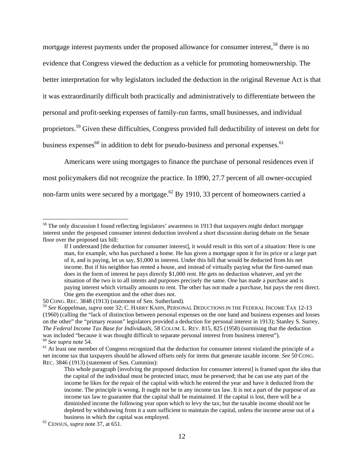mortgage interest payments under the proposed allowance for consumer interest,<sup>58</sup> there is no evidence that Congress viewed the deduction as a vehicle for promoting homeownership. The better interpretation for why legislators included the deduction in the original Revenue Act is that it was extraordinarily difficult both practically and administratively to differentiate between the personal and profit-seeking expenses of family-run farms, small businesses, and individual proprietors.59 Given these difficulties, Congress provided full deductibility of interest on debt for business expenses $^{60}$  in addition to debt for pseudo-business and personal expenses.<sup>61</sup>

Americans were using mortgages to finance the purchase of personal residences even if most policymakers did not recognize the practice. In 1890, 27.7 percent of all owner-occupied non-farm units were secured by a mortgage.<sup>62</sup> By 1910, 33 percent of homeowners carried a

<sup>&</sup>lt;sup>58</sup> The only discussion I found reflecting legislators' awareness in 1913 that taxpayers might deduct mortgage interest under the proposed consumer interest deduction involved a short discussion during debate on the Senate floor over the proposed tax bill:

If I understand [the deduction for consumer interest], it would result in this sort of a situation: Here is one man, for example, who has purchased a home. He has given a mortgage upon it for its price or a large part of it, and is paying, let us say, \$1,000 in interest. Under this bill that would be deducted from his net income. But if his neighbor has rented a house, and instead of virtually paying what the first-named man does in the form of interest he pays directly \$1,000 rent. He gets no deduction whatever, and yet the situation of the two is to all intents and purposes precisely the same. One has made a purchase and is paying interest which virtually amounts to rent. The other has not made a purchase, but pays the rent direct. One gets the exemption and the other does not.

<sup>50</sup> CONG. REC. 3848 (1913) (statement of Sen. Sutherland).

<sup>59</sup> *See* Koppelman, *supra* note 32; C. HARRY KAHN, PERSONAL DEDUCTIONS IN THE FEDERAL INCOME TAX 12-13 (1960) (calling the "lack of distinction between personal expenses on the one hand and business expenses and losses on the other" the "primary reason" legislators provided a deduction for personal interest in 1913); Stanley S. Surrey, *The Federal Income Tax Base for Individuals*, 58 COLUM. L. REV. 815, 825 (1958) (surmising that the deduction was included "because it was thought difficult to separate personal interest from business interest").<br><sup>60</sup> See supra note 54.<br><sup>61</sup> At least one member of Congress recognized that the deduction for consumer interest viola

net income tax that taxpayers should be allowed offsets only for items that generate taxable income. *See* 50 CONG. REC. 3846 (1913) (statement of Sen. Cummins):

This whole paragraph [involving the proposed deduction for consumer interest] is framed upon the idea that the capital of the individual must be protected intact, must be preserved; that he can use any part of the income he likes for the repair of the capital with which he entered the year and have it deducted from the income. The principle is wrong. It ought not be in any income tax law. It is not a part of the purpose of an income tax law to guarantee that the capital shall be maintained. If the capital is lost, there will be a diminished income the following year upon which to levy the tax; but the taxable income should not be depleted by withdrawing from it a sum sufficient to maintain the capital, unless the income arose out of a business in which the capital was employed. 62 CENSUS, *supra* note 37, at 651.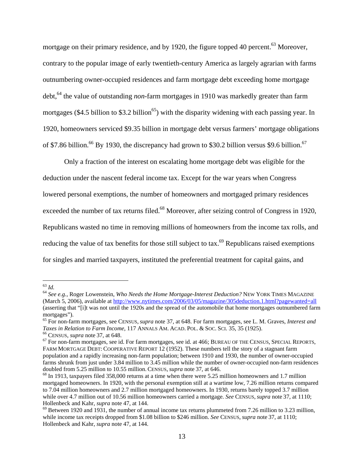mortgage on their primary residence, and by 1920, the figure topped 40 percent.<sup>63</sup> Moreover, contrary to the popular image of early twentieth-century America as largely agrarian with farms outnumbering owner-occupied residences and farm mortgage debt exceeding home mortgage debt,<sup>64</sup> the value of outstanding *non*-farm mortgages in 1910 was markedly greater than farm mortgages (\$4.5 billion to \$3.2 billion<sup>65</sup>) with the disparity widening with each passing year. In 1920, homeowners serviced \$9.35 billion in mortgage debt versus farmers' mortgage obligations of \$7.86 billion.<sup>66</sup> By 1930, the discrepancy had grown to \$30.2 billion versus \$9.6 billion.<sup>67</sup>

Only a fraction of the interest on escalating home mortgage debt was eligible for the deduction under the nascent federal income tax. Except for the war years when Congress lowered personal exemptions, the number of homeowners and mortgaged primary residences exceeded the number of tax returns filed.<sup>68</sup> Moreover, after seizing control of Congress in 1920, Republicans wasted no time in removing millions of homeowners from the income tax rolls, and reducing the value of tax benefits for those still subject to tax.<sup>69</sup> Republicans raised exemptions for singles and married taxpayers, instituted the preferential treatment for capital gains, and

 $63$  Id.

<sup>63</sup> *Id.* <sup>64</sup> *See e.g.*, Roger Lowenstein, *Who Needs the Home Mortgage-Interest Deduction?* NEW YORK TIMES MAGAZINE (March 5, 2006), available at http://www.nytimes.com/2006/03/05/magazine/305deduction.1.html?pagewanted=all (asserting that "[i]t was not until the 1920s and the spread of the automobile that home mortgages outnumbered farm mortgages").

<sup>65</sup> For non-farm mortgages, see CENSUS, *supra* note 37, at 648. For farm mortgages, see L. M. Graves, *Interest and* 

<sup>&</sup>lt;sup>66</sup> CENSUS, *supra* note 37, at 648.<br><sup>67</sup> For non-farm mortgages, see id. For farm mortgages, see id. at 466; BUREAU OF THE CENSUS, SPECIAL REPORTS, FARM MORTGAGE DEBT: COOPERATIVE REPORT 12 (1952). These numbers tell the story of a stagnant farm population and a rapidly increasing non-farm population; between 1910 and 1930, the number of owner-occupied farms shrunk from just under 3.84 million to 3.45 million while the number of owner-occupied non-farm residences doubled from 5.25 million to 10.55 million. CENSUS, *supra* note 37, at 646.

 $^{68}$  In 1913, taxpayers filed 358,000 returns at a time when there were 5.25 million homeowners and 1.7 million mortgaged homeowners. In 1920, with the personal exemption still at a wartime low, 7.26 million returns compared to 7.04 million homeowners and 2.7 million mortgaged homeowners. In 1930, returns barely topped 3.7 million while over 4.7 million out of 10.56 million homeowners carried a mortgage. *See* CENSUS, *supra* note 37, at 1110; Hollenbeck and Kahr, *supra* note 47, at 144.<br><sup>69</sup> Between 1920 and 1931, the number of annual income tax returns plummeted from 7.26 million to 3.23 million,

while income tax receipts dropped from \$1.08 billion to \$246 million. *See* CENSUS, *supra* note 37, at 1110; Hollenbeck and Kahr, *supra* note 47, at 144.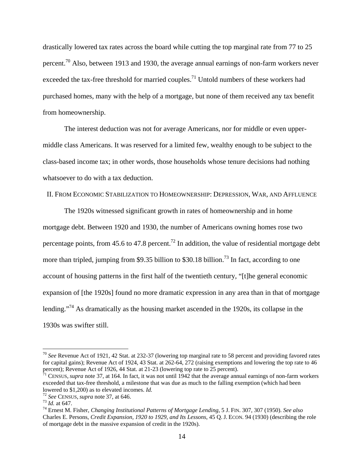drastically lowered tax rates across the board while cutting the top marginal rate from 77 to 25 percent.<sup>70</sup> Also, between 1913 and 1930, the average annual earnings of non-farm workers never exceeded the tax-free threshold for married couples.<sup>71</sup> Untold numbers of these workers had purchased homes, many with the help of a mortgage, but none of them received any tax benefit from homeownership.

The interest deduction was not for average Americans, nor for middle or even uppermiddle class Americans. It was reserved for a limited few, wealthy enough to be subject to the class-based income tax; in other words, those households whose tenure decisions had nothing whatsoever to do with a tax deduction.

II. FROM ECONOMIC STABILIZATION TO HOMEOWNERSHIP: DEPRESSION, WAR, AND AFFLUENCE

The 1920s witnessed significant growth in rates of homeownership and in home mortgage debt. Between 1920 and 1930, the number of Americans owning homes rose two percentage points, from 45.6 to 47.8 percent.<sup>72</sup> In addition, the value of residential mortgage debt more than tripled, jumping from \$9.35 billion to \$30.18 billion.<sup>73</sup> In fact, according to one account of housing patterns in the first half of the twentieth century, "[t]he general economic expansion of [the 1920s] found no more dramatic expression in any area than in that of mortgage lending."<sup>74</sup> As dramatically as the housing market ascended in the 1920s, its collapse in the 1930s was swifter still.

<sup>70</sup> *See* Revenue Act of 1921, 42 Stat. at 232-37 (lowering top marginal rate to 58 percent and providing favored rates for capital gains); Revenue Act of 1924, 43 Stat. at 262-64, 272 (raising exemptions and lowering the top rate to 46 percent); Revenue Act of 1926, 44 Stat. at 21-23 (lowering top rate to 25 percent).

<sup>&</sup>lt;sup>71</sup> CENSUS, *supra* note 37, at 164. In fact, it was not until 1942 that the average annual earnings of non-farm workers exceeded that tax-free threshold, a milestone that was due as much to the falling exemption (which had been lowered to \$1,200) as to elevated incomes. *Id.*<br><sup>72</sup> See CENSUS, supra note 37, at 646.<br><sup>73</sup> Id. at 647.<br><sup>74</sup> Ernest M. Fisher, *Changing Institutional Patterns of Mortgage Lending*, 5 J. FIN. 307, 307 (1950). See also

Charles E. Persons, *Credit Expansion, 1920 to 1929, and Its Lessons*, 45 Q. J. ECON. 94 (1930) (describing the role of mortgage debt in the massive expansion of credit in the 1920s).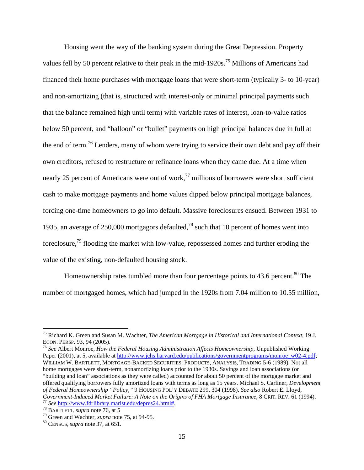Housing went the way of the banking system during the Great Depression. Property values fell by 50 percent relative to their peak in the mid-1920s.<sup>75</sup> Millions of Americans had financed their home purchases with mortgage loans that were short-term (typically 3- to 10-year) and non-amortizing (that is, structured with interest-only or minimal principal payments such that the balance remained high until term) with variable rates of interest, loan-to-value ratios below 50 percent, and "balloon" or "bullet" payments on high principal balances due in full at the end of term.<sup>76</sup> Lenders, many of whom were trying to service their own debt and pay off their own creditors, refused to restructure or refinance loans when they came due. At a time when nearly 25 percent of Americans were out of work, $^{77}$  millions of borrowers were short sufficient cash to make mortgage payments and home values dipped below principal mortgage balances, forcing one-time homeowners to go into default. Massive foreclosures ensued. Between 1931 to 1935, an average of 250,000 mortgagors defaulted,<sup>78</sup> such that 10 percent of homes went into foreclosure,<sup>79</sup> flooding the market with low-value, repossessed homes and further eroding the value of the existing, non-defaulted housing stock.

Homeownership rates tumbled more than four percentage points to 43.6 percent.<sup>80</sup> The number of mortgaged homes, which had jumped in the 1920s from 7.04 million to 10.55 million,

<sup>75</sup> Richard K. Green and Susan M. Wachter, *The American Mortgage in Historical and International Context*, 19 J.

<sup>&</sup>lt;sup>76</sup> See Albert Monroe, *How the Federal Housing Administration Affects Homeownership*, Unpublished Working Paper (2001), at 5, available at http://www.jchs.harvard.edu/publications/governmentprograms/monroe\_w02-4.pdf; WILLIAM W. BARTLETT, MORTGAGE-BACKED SECURITIES: PRODUCTS, ANALYSIS, TRADING 5-6 (1989). Not all home mortgages were short-term, nonamortizing loans prior to the 1930s. Savings and loan associations (or "building and loan" associations as they were called) accounted for about 50 percent of the mortgage market and offered qualifying borrowers fully amortized loans with terms as long as 15 years. Michael S. Carliner, *Development of Federal Homeownership "Policy,"* 9 HOUSING POL'Y DEBATE 299, 304 (1998). *See also* Robert E. Lloyd, Government-Induced Market Failure: A Note on the Origins of FHA Mortgage Insurance, 8 CRIT. REV. 61 (1994).<br>
<sup>77</sup> See http://www.fdrlibrary.marist.edu/depres24.html#.<br>
<sup>78</sup> BARTLETT, *supra* note 76, at 5<br>
<sup>79</sup> Green and W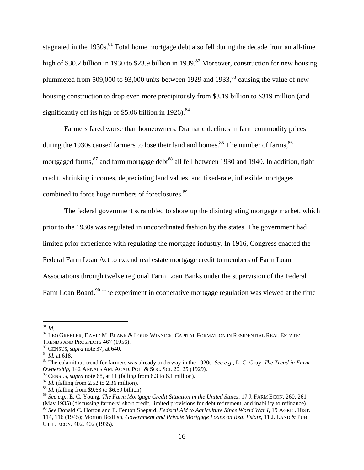stagnated in the 1930s.<sup>81</sup> Total home mortgage debt also fell during the decade from an all-time high of \$30.2 billion in 1930 to \$23.9 billion in 1939.<sup>82</sup> Moreover, construction for new housing plummeted from 509,000 to 93,000 units between 1929 and 1933, $83$  causing the value of new housing construction to drop even more precipitously from \$3.19 billion to \$319 million (and significantly off its high of  $$5.06$  billion in 1926).<sup>84</sup>

Farmers fared worse than homeowners. Dramatic declines in farm commodity prices during the 1930s caused farmers to lose their land and homes. $85$  The number of farms,  $86$ mortgaged farms, $87$  and farm mortgage debt $88$  all fell between 1930 and 1940. In addition, tight credit, shrinking incomes, depreciating land values, and fixed-rate, inflexible mortgages combined to force huge numbers of foreclosures.<sup>89</sup>

The federal government scrambled to shore up the disintegrating mortgage market, which prior to the 1930s was regulated in uncoordinated fashion by the states. The government had limited prior experience with regulating the mortgage industry. In 1916, Congress enacted the Federal Farm Loan Act to extend real estate mortgage credit to members of Farm Loan Associations through twelve regional Farm Loan Banks under the supervision of the Federal Farm Loan Board.<sup>90</sup> The experiment in cooperative mortgage regulation was viewed at the time

 $^{81}$  Id.

<sup>&</sup>lt;sup>82</sup> LEO GREBLER, DAVID M. BLANK & LOUIS WINNICK, CAPITAL FORMATION IN RESIDENTIAL REAL ESTATE:

TRENDS AND PROSPECTS 467 (1956).<br><sup>83</sup> CENSUS, *supra* note 37, at 640.<br><sup>84</sup> *Id.* at 618.<br><sup>85</sup> The calamitous trend for farmers was already underway in the 1920s. *See e.g.*, L. C. Gray, *The Trend in Farm Ownership*, 142 ANNALS AM. ACAD. POL. & Soc. SCI. 20, 25 (1929).<br><sup>86</sup> CENSUS, *supra* note 68, at 11 (falling from 6.3 to 6.1 million).<br><sup>87</sup> *Id*. (falling from 2.52 to 2.36 million).<br><sup>87</sup> *Id*. (falling from \$9.63 to \$6

<sup>89</sup> *See e.g.*, E. C. Young, *The Farm Mortgage Credit Situation in the United States*, 17 J. FARM ECON. 260, 261 (May 1935) (discussing farmers' short credit, limited provisions for debt retirement, and inability to refinance).

<sup>90</sup> *See* Donald C. Horton and E. Fenton Shepard, *Federal Aid to Agriculture Since World War I*, 19 AGRIC. HIST. 114, 116 (1945); Morton Bodfish, *Government and Private Mortgage Loans on Real Estate*, 11 J. LAND & PUB. UTIL. ECON. 402, 402 (1935).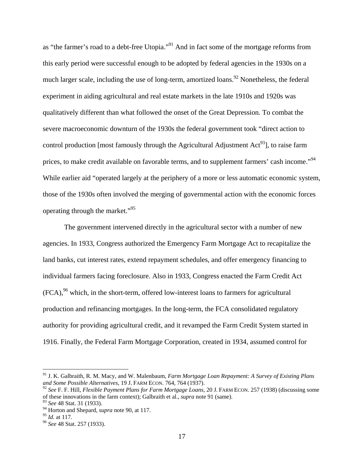as "the farmer's road to a debt-free Utopia."91 And in fact some of the mortgage reforms from this early period were successful enough to be adopted by federal agencies in the 1930s on a much larger scale, including the use of long-term, amortized loans.<sup>92</sup> Nonetheless, the federal experiment in aiding agricultural and real estate markets in the late 1910s and 1920s was qualitatively different than what followed the onset of the Great Depression. To combat the severe macroeconomic downturn of the 1930s the federal government took "direct action to control production [most famously through the Agricultural Adjustment  $Act^{93}$ ], to raise farm prices, to make credit available on favorable terms, and to supplement farmers' cash income."<sup>94</sup> While earlier aid "operated largely at the periphery of a more or less automatic economic system, those of the 1930s often involved the merging of governmental action with the economic forces operating through the market."95

The government intervened directly in the agricultural sector with a number of new agencies. In 1933, Congress authorized the Emergency Farm Mortgage Act to recapitalize the land banks, cut interest rates, extend repayment schedules, and offer emergency financing to individual farmers facing foreclosure. Also in 1933, Congress enacted the Farm Credit Act  $(FCA)$ ,  $96$  which, in the short-term, offered low-interest loans to farmers for agricultural production and refinancing mortgages. In the long-term, the FCA consolidated regulatory authority for providing agricultural credit, and it revamped the Farm Credit System started in 1916. Finally, the Federal Farm Mortgage Corporation, created in 1934, assumed control for

<sup>91</sup> J. K. Galbraith, R. M. Macy, and W. Malenbaum, *Farm Mortgage Loan Repayment: A Survey of Existing Plans and Some Possible Alternatives*, 19 J. FARM ECON. 764, 764 (1937).

<sup>92</sup> *See* F. F. Hill, *Flexible Payment Plans for Farm Mortgage Loans*, 20 J. FARM ECON. 257 (1938) (discussing some of these innovations in the farm context); Galbraith et al., *supra* note 91 (same).

<sup>93</sup> *See* 48 Stat. 31 (1933).

<sup>&</sup>lt;sup>94</sup> Horton and Shepard, *supra* note 90, at 117.<br><sup>95</sup> *Id.* at 117.

<sup>&</sup>lt;sup>96</sup> *See* 48 Stat. 257 (1933).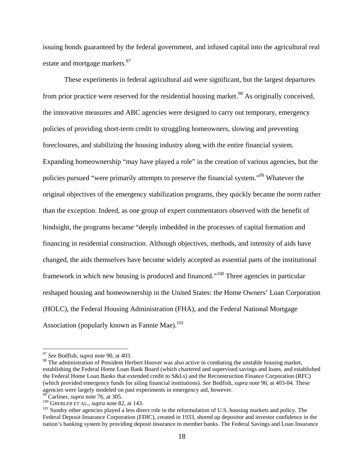issuing bonds guaranteed by the federal government, and infused capital into the agricultural real estate and mortgage markets.<sup>97</sup>

These experiments in federal agricultural aid were significant, but the largest departures from prior practice were reserved for the residential housing market.<sup>98</sup> As originally conceived, the innovative measures and ABC agencies were designed to carry out temporary, emergency policies of providing short-term credit to struggling homeowners, slowing and preventing foreclosures, and stabilizing the housing industry along with the entire financial system. Expanding homeownership "may have played a role" in the creation of various agencies, but the policies pursued "were primarily attempts to preserve the financial system."99 Whatever the original objectives of the emergency stabilization programs, they quickly became the norm rather than the exception. Indeed, as one group of expert commentators observed with the benefit of hindsight, the programs became "deeply imbedded in the processes of capital formation and financing in residential construction. Although objectives, methods, and intensity of aids have changed, the aids themselves have become widely accepted as essential parts of the institutional framework in which new housing is produced and financed."100 Three agencies in particular reshaped housing and homeownership in the United States: the Home Owners' Loan Corporation (HOLC), the Federal Housing Administration (FHA), and the Federal National Mortgage Association (popularly known as Fannie Mae). $^{101}$ 

<sup>97</sup> *See* Bodfish, *supra* note 90, at 403.

<sup>&</sup>lt;sup>98</sup> The administration of President Herbert Hoover was also active in combating the unstable housing market, establishing the Federal Home Loan Bank Board (which chartered and supervised savings and loans, and established the Federal Home Loan Banks that extended credit to S&Ls) and the Reconstruction Finance Corporation (RFC) (which provided emergency funds for ailing financial institutions). *See* Bodfish, *supra* note 90, at 403-04. These agencies were largely modeled on past experiments in emergency aid, however. <sup>99</sup> Carliner, *supra* note 76, at 305.

<sup>&</sup>lt;sup>100</sup> GREBLER ET AL., *supra* note 82, at 143.<br><sup>101</sup> Sundry other agencies played a less direct role in the reformulation of U.S. housing markets and policy. The Federal Deposit Insurance Corporation (FDIC), created in 1933, shored up depositor and investor confidence in the nation's banking system by providing deposit insurance to member banks. The Federal Savings and Loan Insurance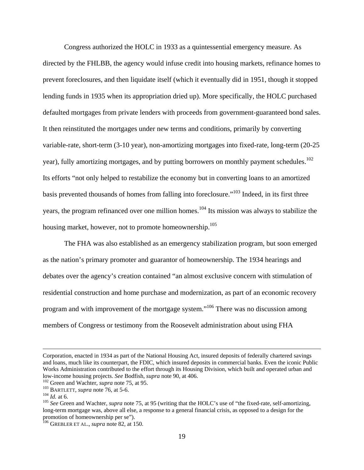Congress authorized the HOLC in 1933 as a quintessential emergency measure. As directed by the FHLBB, the agency would infuse credit into housing markets, refinance homes to prevent foreclosures, and then liquidate itself (which it eventually did in 1951, though it stopped lending funds in 1935 when its appropriation dried up). More specifically, the HOLC purchased defaulted mortgages from private lenders with proceeds from government-guaranteed bond sales. It then reinstituted the mortgages under new terms and conditions, primarily by converting variable-rate, short-term (3-10 year), non-amortizing mortgages into fixed-rate, long-term (20-25 year), fully amortizing mortgages, and by putting borrowers on monthly payment schedules.<sup>102</sup> Its efforts "not only helped to restabilize the economy but in converting loans to an amortized basis prevented thousands of homes from falling into foreclosure."103 Indeed, in its first three years, the program refinanced over one million homes.<sup>104</sup> Its mission was always to stabilize the housing market, however, not to promote homeownership.<sup>105</sup>

The FHA was also established as an emergency stabilization program, but soon emerged as the nation's primary promoter and guarantor of homeownership. The 1934 hearings and debates over the agency's creation contained "an almost exclusive concern with stimulation of residential construction and home purchase and modernization, as part of an economic recovery program and with improvement of the mortgage system."106 There was no discussion among members of Congress or testimony from the Roosevelt administration about using FHA

Corporation, enacted in 1934 as part of the National Housing Act, insured deposits of federally chartered savings and loans, much like its counterpart, the FDIC, which insured deposits in commercial banks. Even the iconic Public Works Administration contributed to the effort through its Housing Division, which built and operated urban and low-income housing projects. *See* Bodfish, *supra* note 90, at 406.<br><sup>102</sup> Green and Wachter, *supra* note 75, at 95.<br><sup>103</sup> BARTLETT, *supra* note 76, at 5-6.<br><sup>104</sup> Id. at 6.<br><sup>104</sup> See Green and Wachter, *supra* note 75, a

long-term mortgage was, above all else, a response to a general financial crisis, as opposed to a design for the promotion of homeownership per se").

<sup>106</sup> GREBLER ET AL., *supra* note 82, at 150.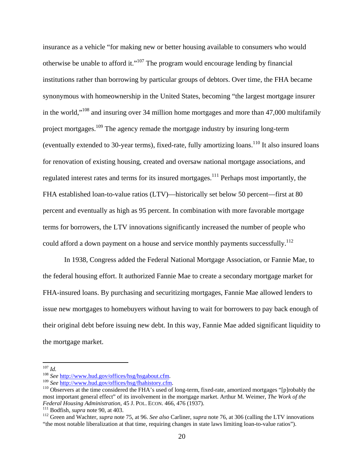insurance as a vehicle "for making new or better housing available to consumers who would otherwise be unable to afford it."<sup>107</sup> The program would encourage lending by financial institutions rather than borrowing by particular groups of debtors. Over time, the FHA became synonymous with homeownership in the United States, becoming "the largest mortgage insurer in the world,"<sup>108</sup> and insuring over 34 million home mortgages and more than  $47,000$  multifamily project mortgages.109 The agency remade the mortgage industry by insuring long-term (eventually extended to 30-year terms), fixed-rate, fully amortizing loans.<sup>110</sup> It also insured loans for renovation of existing housing, created and oversaw national mortgage associations, and regulated interest rates and terms for its insured mortgages.<sup>111</sup> Perhaps most importantly, the FHA established loan-to-value ratios (LTV)—historically set below 50 percent—first at 80 percent and eventually as high as 95 percent. In combination with more favorable mortgage terms for borrowers, the LTV innovations significantly increased the number of people who could afford a down payment on a house and service monthly payments successfully.<sup>112</sup>

In 1938, Congress added the Federal National Mortgage Association, or Fannie Mae, to the federal housing effort. It authorized Fannie Mae to create a secondary mortgage market for FHA-insured loans. By purchasing and securitizing mortgages, Fannie Mae allowed lenders to issue new mortgages to homebuyers without having to wait for borrowers to pay back enough of their original debt before issuing new debt. In this way, Fannie Mae added significant liquidity to the mortgage market.

 $107$  *Id.* 

<sup>&</sup>lt;sup>108</sup> See http://www.hud.gov/offices/hsg/hsgabout.cfm.<br><sup>109</sup> See http://www.hud.gov/offices/hsg/fhahistory.cfm.<br><sup>109</sup> Observers at the time considered the FHA's used of long-term, fixed-rate, amortized mortgages "[p]robabl most important general effect" of its involvement in the mortgage market. Arthur M. Weimer, *The Work of the*  Federal Housing Administration, 45 J. POL. ECON. 466, 476 (1937).<br><sup>111</sup> Bodfish, *supra* note 90, at 403.<br><sup>112</sup> Green and Wachter, *supra* note 75, at 96. See also Carliner, *supra* note 76, at 306 (calling the LTV innovat

<sup>&</sup>quot;the most notable liberalization at that time, requiring changes in state laws limiting loan-to-value ratios").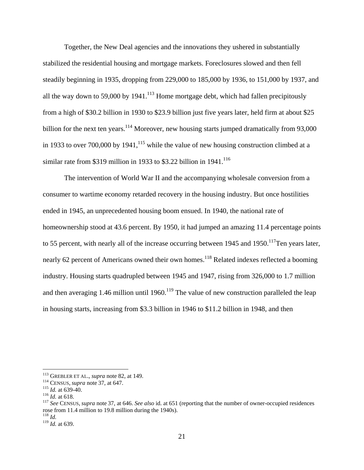Together, the New Deal agencies and the innovations they ushered in substantially stabilized the residential housing and mortgage markets. Foreclosures slowed and then fell steadily beginning in 1935, dropping from 229,000 to 185,000 by 1936, to 151,000 by 1937, and all the way down to 59,000 by 1941.<sup>113</sup> Home mortgage debt, which had fallen precipitously from a high of \$30.2 billion in 1930 to \$23.9 billion just five years later, held firm at about \$25 billion for the next ten years.<sup>114</sup> Moreover, new housing starts jumped dramatically from 93,000 in 1933 to over 700,000 by 1941,<sup>115</sup> while the value of new housing construction climbed at a similar rate from \$319 million in 1933 to \$3.22 billion in  $1941$ <sup>116</sup>

The intervention of World War II and the accompanying wholesale conversion from a consumer to wartime economy retarded recovery in the housing industry. But once hostilities ended in 1945, an unprecedented housing boom ensued. In 1940, the national rate of homeownership stood at 43.6 percent. By 1950, it had jumped an amazing 11.4 percentage points to 55 percent, with nearly all of the increase occurring between 1945 and 1950.<sup>117</sup>Ten years later, nearly 62 percent of Americans owned their own homes.<sup>118</sup> Related indexes reflected a booming industry. Housing starts quadrupled between 1945 and 1947, rising from 326,000 to 1.7 million and then averaging 1.46 million until  $1960$ .<sup>119</sup> The value of new construction paralleled the leap in housing starts, increasing from \$3.3 billion in 1946 to \$11.2 billion in 1948, and then

<sup>&</sup>lt;sup>113</sup> GREBLER ET AL., *supra* note 82, at 149.<br>
<sup>114</sup> CENSUS, *supra* note 37, at 647.<br>
<sup>115</sup> *Id.* at 639-40.<br>
<sup>116</sup> *Id.* at 618.<br>
<sup>116</sup> *See* CENSUS, *supra* note 37, at 646. *See also* id. at 651 (reporting that the n rose from 11.4 million to 19.8 million during the 1940s).<br> $^{118}$  *M* 

<sup>&</sup>lt;sup>119</sup> *Id.* at 639.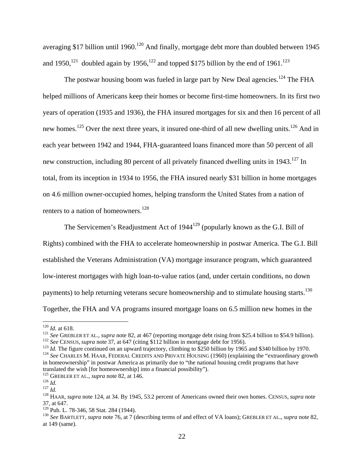averaging \$17 billion until 1960.<sup>120</sup> And finally, mortgage debt more than doubled between 1945 and 1950,<sup>121</sup> doubled again by 1956,<sup>122</sup> and topped \$175 billion by the end of 1961.<sup>123</sup>

The postwar housing boom was fueled in large part by New Deal agencies.<sup>124</sup> The FHA helped millions of Americans keep their homes or become first-time homeowners. In its first two years of operation (1935 and 1936), the FHA insured mortgages for six and then 16 percent of all new homes.<sup>125</sup> Over the next three years, it insured one-third of all new dwelling units.<sup>126</sup> And in each year between 1942 and 1944, FHA-guaranteed loans financed more than 50 percent of all new construction, including 80 percent of all privately financed dwelling units in 1943.<sup>127</sup> In total, from its inception in 1934 to 1956, the FHA insured nearly \$31 billion in home mortgages on 4.6 million owner-occupied homes, helping transform the United States from a nation of renters to a nation of homeowners.<sup>128</sup>

The Servicemen's Readjustment Act of  $1944^{129}$  (popularly known as the G.I. Bill of Rights) combined with the FHA to accelerate homeownership in postwar America. The G.I. Bill established the Veterans Administration (VA) mortgage insurance program, which guaranteed low-interest mortgages with high loan-to-value ratios (and, under certain conditions, no down payments) to help returning veterans secure homeownership and to stimulate housing starts.<sup>130</sup> Together, the FHA and VA programs insured mortgage loans on 6.5 million new homes in the

<sup>&</sup>lt;sup>120</sup> *Id.* at 618.<br><sup>121</sup> *See* GREBLER ET AL., *supra* note 82, at 467 (reporting mortgage debt rising from \$25.4 billion to \$54.9 billion).<br><sup>122</sup> *See* CENSUS, *supra* note 37, at 647 (citing \$112 billion in mortgage de in homeownership" in postwar America as primarily due to "the national housing credit programs that have translated the wish [for homeownership] into a financial possibility").<br><sup>125</sup> GREBLER ET AL., *supra* note 82, at 146.

<sup>126</sup> *Id.*<br><sup>125</sup> *Id.*<br><sup>128</sup> HAAR, *supra* note 124, at 34. By 1945, 53.2 percent of Americans owned their own homes. CENSUS, *supra* note 37, at 647.<br><sup>129</sup> Pub. L. 78-346, 58 Stat. 284 (1944).

<sup>&</sup>lt;sup>130</sup> See BARTLETT, *supra* note 76, at 7 (describing terms of and effect of VA loans); GREBLER ET AL., *supra* note 82, at 149 (same).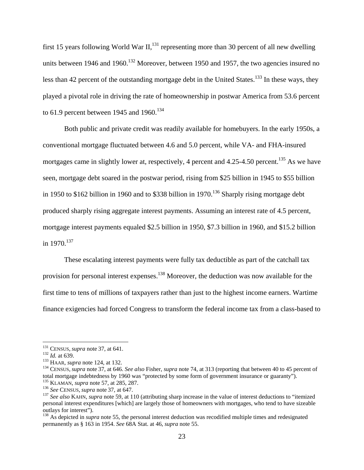first 15 years following World War II, $^{131}$  representing more than 30 percent of all new dwelling units between 1946 and 1960.<sup>132</sup> Moreover, between 1950 and 1957, the two agencies insured no less than 42 percent of the outstanding mortgage debt in the United States.<sup>133</sup> In these ways, they played a pivotal role in driving the rate of homeownership in postwar America from 53.6 percent to 61.9 percent between 1945 and 1960.<sup>134</sup>

Both public and private credit was readily available for homebuyers. In the early 1950s, a conventional mortgage fluctuated between 4.6 and 5.0 percent, while VA- and FHA-insured mortgages came in slightly lower at, respectively, 4 percent and  $4.25$ -4.50 percent.<sup>135</sup> As we have seen, mortgage debt soared in the postwar period, rising from \$25 billion in 1945 to \$55 billion in 1950 to \$162 billion in 1960 and to \$338 billion in 1970.<sup>136</sup> Sharply rising mortgage debt produced sharply rising aggregate interest payments. Assuming an interest rate of 4.5 percent, mortgage interest payments equaled \$2.5 billion in 1950, \$7.3 billion in 1960, and \$15.2 billion in  $1970^{137}$ 

These escalating interest payments were fully tax deductible as part of the catchall tax provision for personal interest expenses.<sup>138</sup> Moreover, the deduction was now available for the first time to tens of millions of taxpayers rather than just to the highest income earners. Wartime finance exigencies had forced Congress to transform the federal income tax from a class-based to

 $131$  CENSUS, *supra* note 37, at 641.

<sup>&</sup>lt;sup>132</sup> *Id.* at 639.<br><sup>133</sup> HAAR, *supra* note 124, at 132.<br><sup>133</sup> CENSUS, *supra* note 37, at 646. *See also* Fisher, *supra* note 74, at 313 (reporting that between 40 to 45 percent of total mortgage indebtedness by 1960 was "protected by some form of government insurance or guaranty").<br><sup>135</sup> KLAMAN, *supra* note 57, at 285, 287.

<sup>&</sup>lt;sup>136</sup> See CENSUS, *supra* note 37, at 647.<br><sup>137</sup> See also KAHN, *supra* note 59, at 110 (attributing sharp increase in the value of interest deductions to "itemized personal interest expenditures [which] are largely those of homeowners with mortgages, who tend to have sizeable outlays for interest").

<sup>&</sup>lt;sup>138</sup> As depicted in *supra* note 55, the personal interest deduction was recodified multiple times and redesignated permanently as § 163 in 1954. *See* 68A Stat. at 46, *supra* note 55.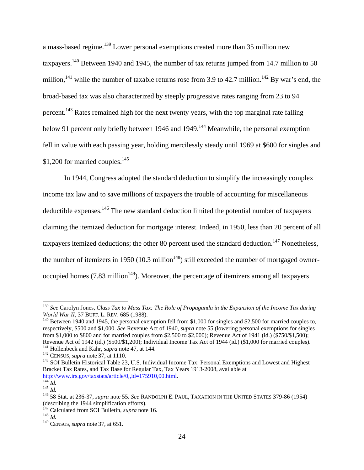a mass-based regime.<sup>139</sup> Lower personal exemptions created more than 35 million new taxpayers.<sup>140</sup> Between 1940 and 1945, the number of tax returns jumped from 14.7 million to 50 million,<sup>141</sup> while the number of taxable returns rose from 3.9 to 42.7 million.<sup>142</sup> By war's end, the broad-based tax was also characterized by steeply progressive rates ranging from 23 to 94 percent.<sup>143</sup> Rates remained high for the next twenty years, with the top marginal rate falling below 91 percent only briefly between 1946 and 1949.<sup>144</sup> Meanwhile, the personal exemption fell in value with each passing year, holding mercilessly steady until 1969 at \$600 for singles and \$1,200 for married couples.<sup>145</sup>

In 1944, Congress adopted the standard deduction to simplify the increasingly complex income tax law and to save millions of taxpayers the trouble of accounting for miscellaneous deductible expenses.146 The new standard deduction limited the potential number of taxpayers claiming the itemized deduction for mortgage interest. Indeed, in 1950, less than 20 percent of all taxpayers itemized deductions; the other 80 percent used the standard deduction.<sup>147</sup> Nonetheless, the number of itemizers in 1950 (10.3 million<sup>148</sup>) still exceeded the number of mortgaged owneroccupied homes  $(7.83 \text{ million}^{149})$ . Moreover, the percentage of itemizers among all taxpayers

<sup>139</sup> *See* Carolyn Jones, *Class Tax to Mass Tax: The Role of Propaganda in the Expansion of the Income Tax during World War II*, 37 BUFF. L. REV. 685 (1988).<br><sup>140</sup> Between 1940 and 1945, the personal exemption fell from \$1,000 for singles and \$2,500 for married couples to,

respectively, \$500 and \$1,000. *See* Revenue Act of 1940, *supra* note 55 (lowering personal exemptions for singles from \$1,000 to \$800 and for married couples from \$2,500 to \$2,000); Revenue Act of 1941 (id.) (\$750/\$1,500); Revenue Act of 1942 (id.) (\$500/\$1,200); Individual Income Tax Act of 1944 (id.) (\$1,000 for married couples).<br><sup>141</sup> Hollenbeck and Kahr, *supra* note 47, at 144.

<sup>&</sup>lt;sup>142</sup> CENSUS, *supra* note 37, at 1110.<br><sup>143</sup> SOI Bulletin Historical Table 23, U.S. Individual Income Tax: Personal Exemptions and Lowest and Highest Bracket Tax Rates, and Tax Base for Regular Tax, Tax Years 1913-2008, available at http://www.irs.gov/taxstats/article/0,,id=175910,00.html.<br><sup>145</sup> *Id.*<br><sup>146</sup> 58 Stat. at 236-37, *supra* note 55. *See* RANDOLPH E. PAUL, TAXATION IN THE UNITED STATES 379-86 (1954)

<sup>(</sup>describing the 1944 simplification efforts).

<sup>147</sup> Calculated from SOI Bulletin, *supra* note 16. 148 *Id.* 149 CENSUS, *supra* note 37, at 651.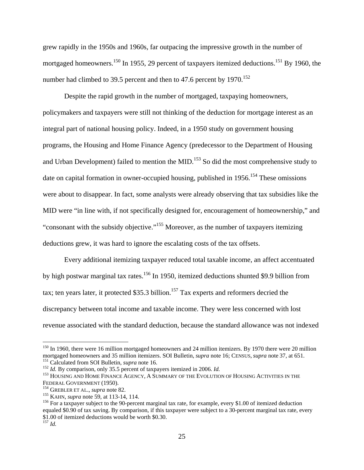grew rapidly in the 1950s and 1960s, far outpacing the impressive growth in the number of mortgaged homeowners.<sup>150</sup> In 1955, 29 percent of taxpayers itemized deductions.<sup>151</sup> By 1960, the number had climbed to 39.5 percent and then to 47.6 percent by  $1970$ <sup>152</sup>

Despite the rapid growth in the number of mortgaged, taxpaying homeowners, policymakers and taxpayers were still not thinking of the deduction for mortgage interest as an integral part of national housing policy. Indeed, in a 1950 study on government housing programs, the Housing and Home Finance Agency (predecessor to the Department of Housing and Urban Development) failed to mention the MID.<sup>153</sup> So did the most comprehensive study to date on capital formation in owner-occupied housing, published in  $1956$ <sup> $154$ </sup> These omissions were about to disappear. In fact, some analysts were already observing that tax subsidies like the MID were "in line with, if not specifically designed for, encouragement of homeownership," and "consonant with the subsidy objective."155 Moreover, as the number of taxpayers itemizing deductions grew, it was hard to ignore the escalating costs of the tax offsets.

Every additional itemizing taxpayer reduced total taxable income, an affect accentuated by high postwar marginal tax rates.<sup>156</sup> In 1950, itemized deductions shunted \$9.9 billion from tax; ten years later, it protected \$35.3 billion.<sup>157</sup> Tax experts and reformers decried the discrepancy between total income and taxable income. They were less concerned with lost revenue associated with the standard deduction, because the standard allowance was not indexed

<sup>&</sup>lt;sup>150</sup> In 1960, there were 16 million mortgaged homeowners and 24 million itemizers. By 1970 there were 20 million mortgaged homeowners and 35 million itemizers. SOI Bulletin, *supra* note 16; CENSUS, *supra* note 37, at 6

<sup>&</sup>lt;sup>151</sup> Calculated from SOI Bulletin, *supra* note 16.<br><sup>152</sup> *Id*. By comparison, only 35.5 percent of taxpayers itemized in 2006. *Id*.<br><sup>153</sup> HOUSING AND HOME FINANCE AGENCY, A SUMMARY OF THE EVOLUTION OF HOUSING ACTIVITIE

<sup>&</sup>lt;sup>154</sup> GREBLER ET AL., *supra* note 82.<br><sup>155</sup> KAHN, *supra* note 59, at 113-14, 114.<br><sup>156</sup> For a taxpayer subject to the 90-percent marginal tax rate, for example, every \$1.00 of itemized deduction equaled \$0.90 of tax saving. By comparison, if this taxpayer were subject to a 30-percent marginal tax rate, every \$1.00 of itemized deductions would be worth \$0.30.

<sup>157</sup> *Id.*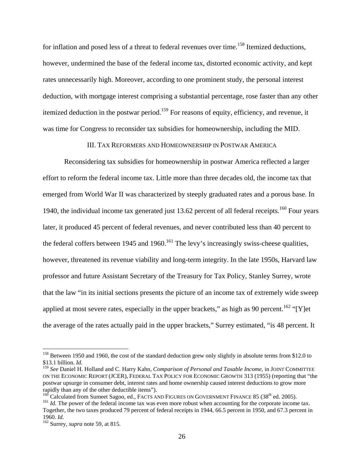for inflation and posed less of a threat to federal revenues over time.<sup>158</sup> Itemized deductions, however, undermined the base of the federal income tax, distorted economic activity, and kept rates unnecessarily high. Moreover, according to one prominent study, the personal interest deduction, with mortgage interest comprising a substantial percentage, rose faster than any other itemized deduction in the postwar period.<sup>159</sup> For reasons of equity, efficiency, and revenue, it was time for Congress to reconsider tax subsidies for homeownership, including the MID.

III. TAX REFORMERS AND HOMEOWNERSHIP IN POSTWAR AMERICA

Reconsidering tax subsidies for homeownership in postwar America reflected a larger effort to reform the federal income tax. Little more than three decades old, the income tax that emerged from World War II was characterized by steeply graduated rates and a porous base. In 1940, the individual income tax generated just 13.62 percent of all federal receipts.<sup>160</sup> Four years later, it produced 45 percent of federal revenues, and never contributed less than 40 percent to the federal coffers between 1945 and 1960.<sup>161</sup> The levy's increasingly swiss-cheese qualities, however, threatened its revenue viability and long-term integrity. In the late 1950s, Harvard law professor and future Assistant Secretary of the Treasury for Tax Policy, Stanley Surrey, wrote that the law "in its initial sections presents the picture of an income tax of extremely wide sweep applied at most severe rates, especially in the upper brackets," as high as 90 percent.<sup>162</sup> "[Y]et the average of the rates actually paid in the upper brackets," Surrey estimated, "is 48 percent. It

<sup>&</sup>lt;sup>158</sup> Between 1950 and 1960, the cost of the standard deduction grew only slightly in absolute terms from \$12.0 to \$13.1 billion. *Id.*<br><sup>159</sup> See Daniel H. Holland and C. Harry Kahn, *Comparison of Personal and Taxable Income*, in JOINT COMMITTEE

ON THE ECONOMIC REPORT (JCER), FEDERAL TAX POLICY FOR ECONOMIC GROWTH 313 (1955) (reporting that "the postwar upsurge in consumer debt, interest rates and home ownership caused interest deductions to grow more rapidly than any of the other deductible items").<br><sup>160</sup> Calculated from Sumeet Sagoo, ed., FACTS AND FIGURES ON GOVERNMENT FINANCE 85 (38<sup>th</sup> ed. 2005).

 $161$  *Id.* The power of the federal income tax was even more robust when accounting for the corporate income tax. Together, the two taxes produced 79 percent of federal receipts in 1944, 66.5 percent in 1950, and 67.3 percent in 1960. *Id.* 162 Surrey, *supra* note 59, at 815.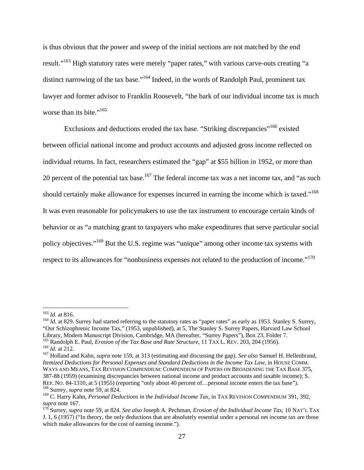is thus obvious that the power and sweep of the initial sections are not matched by the end result."<sup>163</sup> High statutory rates were merely "paper rates," with various carve-outs creating "a distinct narrowing of the tax base."<sup>164</sup> Indeed, in the words of Randolph Paul, prominent tax lawyer and former advisor to Franklin Roosevelt, "the bark of our individual income tax is much worse than its bite." $165$ 

Exclusions and deductions eroded the tax base. "Striking discrepancies"<sup>166</sup> existed between official national income and product accounts and adjusted gross income reflected on individual returns. In fact, researchers estimated the "gap" at \$55 billion in 1952, or more than 20 percent of the potential tax base.<sup>167</sup> The federal income tax was a net income tax, and "as such should certainly make allowance for expenses incurred in earning the income which is taxed."<sup>168</sup> It was even reasonable for policymakers to use the tax instrument to encourage certain kinds of behavior or as "a matching grant to taxpayers who make expenditures that serve particular social policy objectives."169 But the U.S. regime was "unique" among other income tax systems with respect to its allowances for "nonbusiness expenses not related to the production of income."<sup>170</sup>

<sup>&</sup>lt;sup>163</sup> *Id.* at 816.<br><sup>164</sup> *Id.* at 829. Surrey had started referring to the statutory rates as "paper rates" as early as 1953. Stanley S. Surrey, "Our Schizophrenic Income Tax," (1953, unpublished), at 5, The Stanley S. Surrey Papers, Harvard Law School Library, Modern Manuscript Division, Cambridge, MA (hereafter, "Surrey Papers"), Box 23, Folder 7.<br><sup>165</sup> Randolph E. Paul, *Erosion of the Tax Base and Rate Structure*, 11 TAX L. REV. 203, 204 (1956).

<sup>&</sup>lt;sup>166</sup> *Id.* at 212.<br><sup>167</sup> Holland and Kahn, *supra* note 159, at 313 (estimating and discussing the gap). *See also* Samuel H. Hellenbrand, *Itemized Deductions for Personal Expenses and Standard Deductions in the Income Tax Law*, in HOUSE COMM. WAYS AND MEANS, TAX REVISION COMPENDIUM: COMPENDIUM OF PAPERS ON BROADENING THE TAX BASE 375, 387-88 (1959) (examining discrepancies between national income and product accounts and taxable income); S. REP. NO. 84-1310, at 5 (1955) (reporting "only about 40 percent of…personal income enters the tax base"). 168 Surrey, *supra* note 59, at 824.

<sup>169</sup> C. Harry Kahn, *Personal Deductions in the Individual Income Tax*, in TAX REVISION COMPENDIUM 391, 392, *supra* note 167. 170 Surrey, *supra* note 59, at 824. *See also* Joseph A. Pechman, *Erosion of the Individual Income Tax*, 10 NAT'L TAX

J. 1, 6 (1957) ("In theory, the only deductions that are absolutely essential under a personal net income tax are those which make allowances for the cost of earning income.").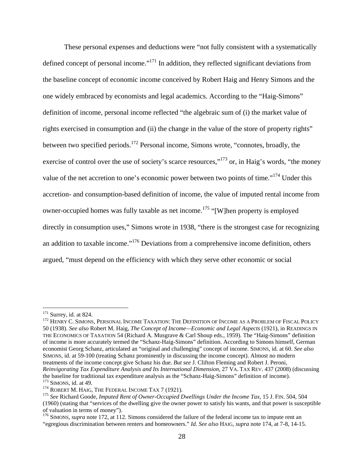These personal expenses and deductions were "not fully consistent with a systematically defined concept of personal income."<sup>171</sup> In addition, they reflected significant deviations from the baseline concept of economic income conceived by Robert Haig and Henry Simons and the one widely embraced by economists and legal academics. According to the "Haig-Simons" definition of income, personal income reflected "the algebraic sum of (i) the market value of rights exercised in consumption and (ii) the change in the value of the store of property rights" between two specified periods.<sup>172</sup> Personal income, Simons wrote, "connotes, broadly, the exercise of control over the use of society's scarce resources,"<sup>173</sup> or, in Haig's words, "the money" value of the net accretion to one's economic power between two points of time."174 Under this accretion- and consumption-based definition of income, the value of imputed rental income from owner-occupied homes was fully taxable as net income.<sup>175</sup> "[W]hen property is employed directly in consumption uses," Simons wrote in 1938, "there is the strongest case for recognizing an addition to taxable income."176 Deviations from a comprehensive income definition, others argued, "must depend on the efficiency with which they serve other economic or social

 $171$  Surrey, id. at 824.<br>172 Henry C. Simons, Personal Income Taxation: The Definition of Income as a Problem of Fiscal Policy 50 (1938). *See also* Robert M. Haig, *The Concept of Income—Economic and Legal Aspects* (1921), in READINGS IN THE ECONOMICS OF TAXATION 54 (Richard A. Musgrave & Carl Shoup eds., 1959). The "Haig-Simons" definition of income is more accurately termed the "Schanz-Haig-Simons" definition. According to Simons himself, German economist Georg Schanz, articulated an "original and challenging" concept of income. SIMONS, id. at 60. *See also* SIMONS, id. at 59-100 (treating Schanz prominently in discussing the income concept). Almost no modern treatments of the income concept give Schanz his due. *But see* J. Clifton Fleming and Robert J. Peroni, *Reinvigorating Tax Expenditure Analysis and Its International Dimension*, 27 VA. TAX REV. 437 (2008) (discussing

the baseline for traditional tax expenditure analysis as the "Schanz-Haig-Simons" definition of income).<br><sup>173</sup> SIMONS, id. at 49.<br><sup>174</sup> ROBERT M. HAIG, THE FEDERAL INCOME TAX 7 (1921).<br><sup>175</sup> See Richard Goode, *Imputed Ren* (1960) (stating that "services of the dwelling give the owner power to satisfy his wants, and that power is susceptible of valuation in terms of money").

<sup>&</sup>lt;sup>176</sup> SIMONS, *supra* note 172, at 112. Simons considered the failure of the federal income tax to impute rent an "egregious discrimination between renters and homeowners." *Id. See also* HAIG, *supra* note 174, at 7-8, 14-15.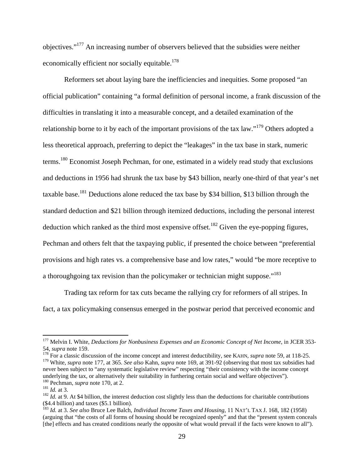objectives."177 An increasing number of observers believed that the subsidies were neither economically efficient nor socially equitable.<sup>178</sup>

Reformers set about laying bare the inefficiencies and inequities. Some proposed "an official publication" containing "a formal definition of personal income, a frank discussion of the difficulties in translating it into a measurable concept, and a detailed examination of the relationship borne to it by each of the important provisions of the tax law."179 Others adopted a less theoretical approach, preferring to depict the "leakages" in the tax base in stark, numeric terms.<sup>180</sup> Economist Joseph Pechman, for one, estimated in a widely read study that exclusions and deductions in 1956 had shrunk the tax base by \$43 billion, nearly one-third of that year's net taxable base.<sup>181</sup> Deductions alone reduced the tax base by \$34 billion, \$13 billion through the standard deduction and \$21 billion through itemized deductions, including the personal interest deduction which ranked as the third most expensive offset.<sup>182</sup> Given the eye-popping figures, Pechman and others felt that the taxpaying public, if presented the choice between "preferential provisions and high rates vs. a comprehensive base and low rates," would "be more receptive to a thoroughgoing tax revision than the policymaker or technician might suppose."<sup>183</sup>

Trading tax reform for tax cuts became the rallying cry for reformers of all stripes. In fact, a tax policymaking consensus emerged in the postwar period that perceived economic and

<sup>&</sup>lt;sup>177</sup> Melvin I. White, *Deductions for Nonbusiness Expenses and an Economic Concept of Net Income*, in JCER 353-54, *supra* note 159. 178 For a classic discussion of the income concept and interest deductibility, see KAHN, *supra* note 59, at 118-25.

<sup>179</sup> White, *supra* note 177, at 365. *See also* Kahn, *supra* note 169, at 391-92 (observing that most tax subsidies had never been subject to "any systematic legislative review" respecting "their consistency with the income concept underlying the tax, or alternatively their suitability in furthering certain social and welfare objectives"). <sup>180</sup> Pechman, *supra* note 170, at 2.

<sup>181</sup> *Id.* at 3.<br><sup>181</sup> *Id.* at 3. 182 *Id.* at 9. At \$4 billion, the interest deduction cost slightly less than the deductions for charitable contributions (\$4.4 billion) and taxes (\$5.1 billion).

<sup>183</sup> *Id.* at 3. *See also* Bruce Lee Balch, *Individual Income Taxes and Housing*, 11 NAT'L TAX J. 168, 182 (1958) (arguing that "the costs of all forms of housing should be recognized openly" and that the "present system conceals [the] effects and has created conditions nearly the opposite of what would prevail if the facts were known to all").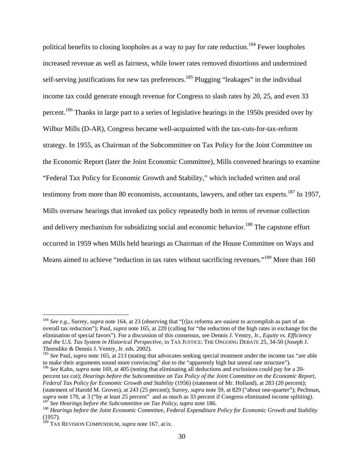political benefits to closing loopholes as a way to pay for rate reduction.<sup>184</sup> Fewer loopholes increased revenue as well as fairness, while lower rates removed distortions and undermined self-serving justifications for new tax preferences.<sup>185</sup> Plugging "leakages" in the individual income tax could generate enough revenue for Congress to slash rates by 20, 25, and even 33 percent.<sup>186</sup> Thanks in large part to a series of legislative hearings in the 1950s presided over by Wilbur Mills (D-AR), Congress became well-acquainted with the tax-cuts-for-tax-reform strategy. In 1955, as Chairman of the Subcommittee on Tax Policy for the Joint Committee on the Economic Report (later the Joint Economic Committee), Mills convened hearings to examine "Federal Tax Policy for Economic Growth and Stability," which included written and oral testimony from more than 80 economists, accountants, lawyers, and other tax experts.<sup>187</sup> In 1957, Mills oversaw hearings that invoked tax policy repeatedly both in terms of revenue collection and delivery mechanism for subsidizing social and economic behavior.<sup>188</sup> The capstone effort occurred in 1959 when Mills held hearings as Chairman of the House Committee on Ways and Means aimed to achieve "reduction in tax rates without sacrificing revenues."<sup>189</sup> More than 160

<sup>184</sup> *See e.g.*, Surrey, *supra* note 164, at 23 (observing that "[t]ax reforms are easiest to accomplish as part of an overall tax reduction"); Paul, *supra* note 165, at 220 (calling for "the reduction of the high rates in exchange for the elimination of special favors"). For a discussion of this consensus, see Dennis J. Ventry, Jr., *Equity vs. Efficiency and the U.S. Tax System in Historical Perspective*, in TAX JUSTICE: THE ONGOING DEBATE 25, 34-50 (Joseph J. Thorndike & Dennis J. Ventry, Jr. eds. 2002).

<sup>&</sup>lt;sup>185</sup> *See* Paul, *supra* note 165, at 213 (stating that advocates seeking special treatment under the income tax "are able to make their arguments sound more convincing" due to the "apparently high but unreal rate structu

<sup>&</sup>lt;sup>186</sup> See Kahn, supra note 169, at 405 (noting that eliminating all deductions and exclusions could pay for a 20percent tax cut); *Hearings before the Subcommittee on Tax Policy of the Joint Committee on the Economic Report, Federal Tax Policy for Economic Growth and Stability* (1956) (statement of Mr. Holland), at 283 (20 percent); (statement of Harold M. Groves), at 243 (25 percent); Surrey, *supra* note 59, at 829 ("about one-quarter"); Pechman, supra note 170, at 3 ("by at least 25 percent" and as much as 33 percent if Congress eliminated income splitting).<br><sup>187</sup> See Hearings before the Subcommittee on Tax Policy, supra note 186.<br><sup>188</sup> Hearings before the Joint E

<sup>(1957).</sup> 

<sup>189</sup> TAX REVISION COMPENDIUM, *supra* note 167, at ix.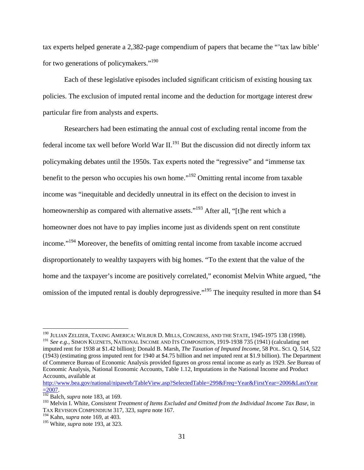tax experts helped generate a 2,382-page compendium of papers that became the "'tax law bible' for two generations of policymakers."<sup>190</sup>

Each of these legislative episodes included significant criticism of existing housing tax policies. The exclusion of imputed rental income and the deduction for mortgage interest drew particular fire from analysts and experts.

Researchers had been estimating the annual cost of excluding rental income from the federal income tax well before World War II.<sup>191</sup> But the discussion did not directly inform tax policymaking debates until the 1950s. Tax experts noted the "regressive" and "immense tax benefit to the person who occupies his own home."<sup>192</sup> Omitting rental income from taxable income was "inequitable and decidedly unneutral in its effect on the decision to invest in homeownership as compared with alternative assets."<sup>193</sup> After all, "[t]he rent which a homeowner does not have to pay implies income just as dividends spent on rent constitute income."<sup>194</sup> Moreover, the benefits of omitting rental income from taxable income accrued disproportionately to wealthy taxpayers with big homes. "To the extent that the value of the home and the taxpayer's income are positively correlated," economist Melvin White argued, "the omission of the imputed rental is doubly deprogressive."<sup>195</sup> The inequity resulted in more than \$4

<sup>&</sup>lt;sup>190</sup> JULIAN ZELIZER, TAXING AMERICA: WILBUR D. MILLS, CONGRESS, AND THE STATE, 1945-1975 138 (1998).

<sup>191</sup> *See e.g.*, SIMON KUZNETS, NATIONAL INCOME AND ITS COMPOSITION, 1919-1938 735 (1941) (calculating net imputed rent for 1938 at \$1.42 billion); Donald B. Marsh, *The Taxation of Imputed Income*, 58 POL. SCI. Q. 514, 522 (1943) (estimating gross imputed rent for 1940 at \$4.75 billion and net imputed rent at \$1.9 billion). The Department of Commerce Bureau of Economic Analysis provided figures on *gross* rental income as early as 1929. *See* Bureau of Economic Analysis, National Economic Accounts, Table 1.12, Imputations in the National Income and Product Accounts, available at

http://www.bea.gov/national/nipaweb/TableView.asp?SelectedTable=299&Freq=Year&FirstYear=2006&LastYear =2007. 192 Balch, *supra* note 183, at 169.

<sup>193</sup> Melvin I. White, *Consistent Treatment of Items Excluded and Omitted from the Individual Income Tax Base*, in TAX REVISION COMPENDIUM 317, 323, *supra* note 167.

<sup>194</sup> Kahn, *supra* note 169, at 403.

<sup>195</sup> White, *supra* note 193, at 323.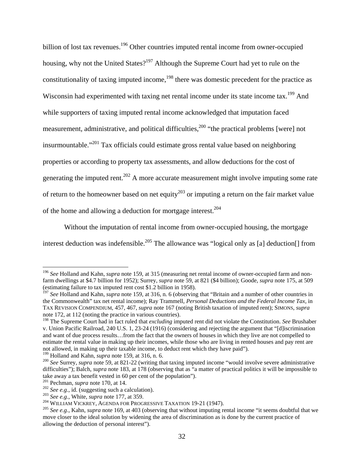billion of lost tax revenues.<sup>196</sup> Other countries imputed rental income from owner-occupied housing, why not the United States?<sup>197</sup> Although the Supreme Court had yet to rule on the constitutionality of taxing imputed income,<sup>198</sup> there was domestic precedent for the practice as Wisconsin had experimented with taxing net rental income under its state income tax.<sup>199</sup> And while supporters of taxing imputed rental income acknowledged that imputation faced measurement, administrative, and political difficulties,<sup>200</sup> "the practical problems [were] not insurmountable."201 Tax officials could estimate gross rental value based on neighboring properties or according to property tax assessments, and allow deductions for the cost of generating the imputed rent.<sup>202</sup> A more accurate measurement might involve imputing some rate of return to the homeowner based on net equity<sup>203</sup> or imputing a return on the fair market value of the home and allowing a deduction for mortgage interest.204

Without the imputation of rental income from owner-occupied housing, the mortgage interest deduction was indefensible.<sup>205</sup> The allowance was "logical only as [a] deduction<sup>[]</sup> from

<sup>196</sup> *See* Holland and Kahn, *supra* note 159, at 315 (measuring net rental income of owner-occupied farm and nonfarm dwellings at \$4.7 billion for 1952); Surrey, *supra* note 59, at 821 (\$4 billion); Goode, *supra* note 175, at 509 (estimating failure to tax imputed rent cost \$1.2 billion in 1958).

<sup>&</sup>lt;sup>197</sup> See Holland and Kahn, *supra* note 159, at 316, n. 6 (observing that "Britain and a number of other countries in the Commonwealth" tax net rental income); Ray Trammell, *Personal Deductions and the Federal Income Tax*, in TAX REVISION COMPENDIUM, 457, 467, *supra* note 167 (noting British taxation of imputed rent); SIMONS, *supra* note 172, at 112 (noting the practice in various countries).

<sup>198</sup> The Supreme Court had in fact ruled that *excluding* imputed rent did not violate the Constitution. *See* Brushaber v. Union Pacific Railroad, 240 U.S. 1, 23-24 (1916) (considering and rejecting the argument that "[d]iscrimination and want of due process results…from the fact that the owners of houses in which they live are not compelled to estimate the rental value in making up their incomes, while those who are living in rented houses and pay rent are not allowed, in making up their taxable income, to deduct rent which they have paid").<br><sup>199</sup> Holland and Kahn, *supra* note 159, at 316, n. 6.

<sup>&</sup>lt;sup>200</sup> See Surrey, *supra* note 59, at 821-22 (writing that taxing imputed income "would involve severe administrative difficulties"); Balch, *supra* note 183, at 178 (observing that as "a matter of practical politics it will be impossible to take away a tax benefit vested in 60 per cent of the population").<br><sup>201</sup> Pechman, *supra* note 170, at 14.

<sup>&</sup>lt;sup>202</sup> See e.g., id. (suggesting such a calculation).<br><sup>203</sup> See e.g., White, *supra* note 177, at 359.<br><sup>204</sup> WILLIAM VICKREY, AGENDA FOR PROGRESSIVE TAXATION 19-21 (1947).<br><sup>205</sup> See e.g., Kahn, *supra* note 169, at 403 (ob move closer to the ideal solution by widening the area of discrimination as is done by the current practice of allowing the deduction of personal interest").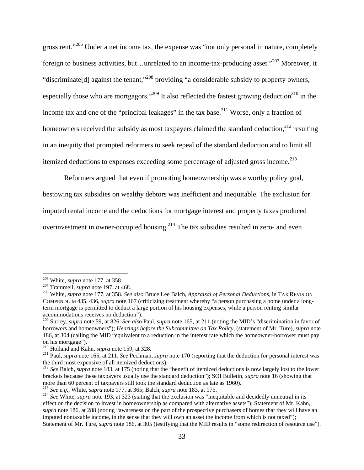gross rent."<sup>206</sup> Under a net income tax, the expense was "not only personal in nature, completely foreign to business activities, but…unrelated to an income-tax-producing asset."207 Moreover, it "discriminate[d] against the tenant,"208 providing "a considerable subsidy to property owners, especially those who are mortgagors."<sup>209</sup> It also reflected the fastest growing deduction<sup>210</sup> in the income tax and one of the "principal leakages" in the tax base.<sup>211</sup> Worse, only a fraction of homeowners received the subsidy as most taxpayers claimed the standard deduction, $^{212}$  resulting in an inequity that prompted reformers to seek repeal of the standard deduction and to limit all itemized deductions to expenses exceeding some percentage of adjusted gross income.<sup>213</sup>

Reformers argued that even if promoting homeownership was a worthy policy goal, bestowing tax subsidies on wealthy debtors was inefficient and inequitable. The exclusion for imputed rental income and the deductions for mortgage interest and property taxes produced overinvestment in owner-occupied housing.<sup>214</sup> The tax subsidies resulted in zero- and even

<sup>&</sup>lt;sup>206</sup> White, *supra* note 177, at 358.<br><sup>207</sup> Trammell, *supra* note 197, at 468.<br><sup>208</sup> White, *supra* note 177, at 358. *See also* Bruce Lee Balch, *Appraisal of Personal Deductions*, in TAX REVISION COMPENDIUM 435, 436, *supra* note 167 (criticizing treatment whereby "a person purchasing a home under a longterm mortgage is permitted to deduct a large portion of his housing expenses, while a person renting similar accommodations receives no deduction").

<sup>209</sup> Surrey, *supra* note 59, at 826. *See also* Paul, *supra* note 165, at 211 (noting the MID's "discrimination in favor of borrowers and homeowners"); *Hearings before the Subcommittee on Tax Policy*, (statement of Mr. Ture), *supra* note 186, at 304 (calling the MID "equivalent to a reduction in the interest rate which the homeowner-borrower must pay on his mortgage").<br><sup>210</sup> Holland and Kahn, *supra* note 159, at 328.

<sup>&</sup>lt;sup>211</sup> Paul, *supra* note 165, at 211. *See* Pechman, *supra* note 170 (reporting that the deduction for personal interest was the third most expensive of all itemized deductions).

<sup>&</sup>lt;sup>212</sup> See Balch, *supra* note 183, at 175 (noting that the "benefit of itemized deductions is now largely lost to the lower brackets because these taxpayers usually use the standard deduction"); SOI Bulletin, *supra* note 16 (showing that

<sup>&</sup>lt;sup>213</sup> See e.g., White, *supra* note 177, at 365; Balch, *supra* note 183, at 175.<br><sup>214</sup> See White, *supra* note 193, at 323 (stating that the exclusion was "inequitable and decidedly unneutral in its effect on the decision to invest in homeownership as compared with alternative assets"); Statement of Mr. Kahn, *supra* note 186, at 288 (noting "awareness on the part of the prospective purchasers of homes that they will have an imputed nontaxable income, in the sense that they will own an asset the income from which is not taxed"); Statement of Mr. Ture, *supra* note 186, at 305 (testifying that the MID results in "some redirection of resource use").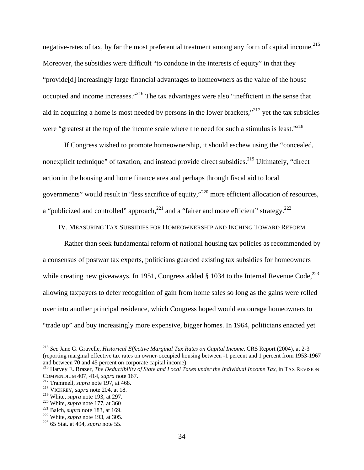negative-rates of tax, by far the most preferential treatment among any form of capital income.<sup>215</sup> Moreover, the subsidies were difficult "to condone in the interests of equity" in that they "provide[d] increasingly large financial advantages to homeowners as the value of the house occupied and income increases."216 The tax advantages were also "inefficient in the sense that aid in acquiring a home is most needed by persons in the lower brackets," $^{217}$  yet the tax subsidies were "greatest at the top of the income scale where the need for such a stimulus is least."<sup>218</sup>

If Congress wished to promote homeownership, it should eschew using the "concealed, nonexplicit technique" of taxation, and instead provide direct subsidies.<sup>219</sup> Ultimately, "direct" action in the housing and home finance area and perhaps through fiscal aid to local governments" would result in "less sacrifice of equity,"220 more efficient allocation of resources, a "publicized and controlled" approach,  $221$  and a "fairer and more efficient" strategy.  $222$ 

IV. MEASURING TAX SUBSIDIES FOR HOMEOWNERSHIP AND INCHING TOWARD REFORM

Rather than seek fundamental reform of national housing tax policies as recommended by a consensus of postwar tax experts, politicians guarded existing tax subsidies for homeowners while creating new giveaways. In 1951, Congress added  $\S$  1034 to the Internal Revenue Code.<sup>223</sup> allowing taxpayers to defer recognition of gain from home sales so long as the gains were rolled over into another principal residence, which Congress hoped would encourage homeowners to "trade up" and buy increasingly more expensive, bigger homes. In 1964, politicians enacted yet

<sup>215</sup> *See* Jane G. Gravelle, *Historical Effective Marginal Tax Rates on Capital Income*, CRS Report (2004), at 2-3 (reporting marginal effective tax rates on owner-occupied housing between -1 percent and 1 percent from 1953-1967 and between 70 and 45 percent on corporate capital income).

<sup>216</sup> Harvey E. Brazer, *The Deductibility of State and Local Taxes under the Individual Income Tax*, in TAX REVISION COMPENDIUM 407, 414, *supra* note 167.<br><sup>217</sup> Trammell, *supra* note 197, at 468.<br><sup>218</sup> VICKREY, *supra* note 204, at 18.<br><sup>219</sup> White, *supra* note 193, at 297.

<sup>&</sup>lt;sup>220</sup> White, *supra* note 177, at 360<br><sup>221</sup> Balch, *supra* note 183, at 169.<br><sup>222</sup> White, *supra* note 193, at 305.<br><sup>223</sup> 65 Stat. at 494, *supra* note 55.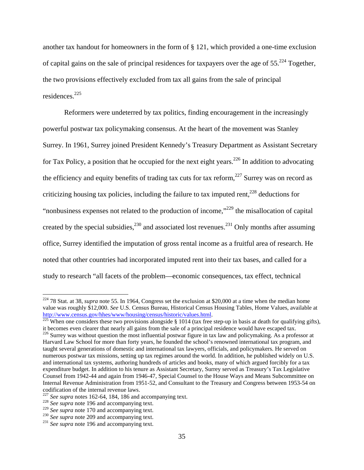another tax handout for homeowners in the form of § 121, which provided a one-time exclusion of capital gains on the sale of principal residences for taxpayers over the age of  $55.^{224}$  Together, the two provisions effectively excluded from tax all gains from the sale of principal residences.225

Reformers were undeterred by tax politics, finding encouragement in the increasingly powerful postwar tax policymaking consensus. At the heart of the movement was Stanley Surrey. In 1961, Surrey joined President Kennedy's Treasury Department as Assistant Secretary for Tax Policy, a position that he occupied for the next eight years.<sup>226</sup> In addition to advocating the efficiency and equity benefits of trading tax cuts for tax reform,  $227$  Surrey was on record as criticizing housing tax policies, including the failure to tax imputed rent,  $228$  deductions for "nonbusiness expenses not related to the production of income,"229 the misallocation of capital created by the special subsidies,  $230$  and associated lost revenues.  $231$  Only months after assuming office, Surrey identified the imputation of gross rental income as a fruitful area of research. He noted that other countries had incorporated imputed rent into their tax bases, and called for a study to research "all facets of the problem—economic consequences, tax effect, technical

 $224$  78 Stat. at 38, *supra* note 55. In 1964, Congress set the exclusion at \$20,000 at a time when the median home value was roughly \$12,000. *See* U.S. Census Bureau, Historical Census Housing Tables, Home Values, available at http://www.census.gov/hhes/www/housing/census/historic/values.html.<br><sup>225</sup> When one considers these two provisions alongside § 1014 (tax free step-up in basis at death for qualifying gifts),

it becomes even clearer that nearly all gains from the sale of a principal residence would have escaped tax.<br><sup>226</sup> Surrey was without question the most influential postwar figure in tax law and policymaking. As a professor Harvard Law School for more than forty years, he founded the school's renowned international tax program, and taught several generations of domestic and international tax lawyers, officials, and policymakers. He served on numerous postwar tax missions, setting up tax regimes around the world. In addition, he published widely on U.S. and international tax systems, authoring hundreds of articles and books, many of which argued forcibly for a tax expenditure budget. In addition to his tenure as Assistant Secretary, Surrey served as Treasury's Tax Legislative Counsel from 1942-44 and again from 1946-47, Special Counsel to the House Ways and Means Subcommittee on Internal Revenue Administration from 1951-52, and Consultant to the Treasury and Congress between 1953-54 on codification of the internal revenue laws.

<sup>&</sup>lt;sup>227</sup> *See supra* notes 162-64, 184, 186 and accompanying text.<br><sup>228</sup> *See supra* note 196 and accompanying text.<br><sup>229</sup> *See supra* note 170 and accompanying text.

<sup>&</sup>lt;sup>230</sup> *See supra* note 209 and accompanying text. <sup>231</sup> *See supra* note 196 and accompanying text.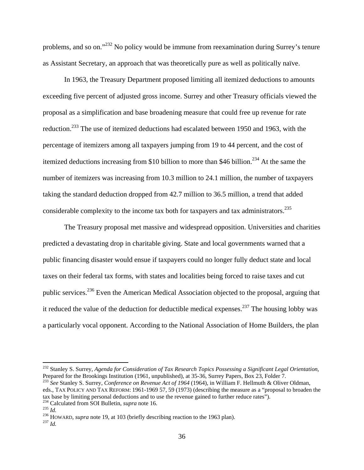problems, and so on."232 No policy would be immune from reexamination during Surrey's tenure as Assistant Secretary, an approach that was theoretically pure as well as politically naïve.

In 1963, the Treasury Department proposed limiting all itemized deductions to amounts exceeding five percent of adjusted gross income. Surrey and other Treasury officials viewed the proposal as a simplification and base broadening measure that could free up revenue for rate reduction.233 The use of itemized deductions had escalated between 1950 and 1963, with the percentage of itemizers among all taxpayers jumping from 19 to 44 percent, and the cost of itemized deductions increasing from \$10 billion to more than \$46 billion.<sup>234</sup> At the same the number of itemizers was increasing from 10.3 million to 24.1 million, the number of taxpayers taking the standard deduction dropped from 42.7 million to 36.5 million, a trend that added considerable complexity to the income tax both for taxpayers and tax administrators.<sup>235</sup>

The Treasury proposal met massive and widespread opposition. Universities and charities predicted a devastating drop in charitable giving. State and local governments warned that a public financing disaster would ensue if taxpayers could no longer fully deduct state and local taxes on their federal tax forms, with states and localities being forced to raise taxes and cut public services.236 Even the American Medical Association objected to the proposal, arguing that it reduced the value of the deduction for deductible medical expenses.<sup>237</sup> The housing lobby was a particularly vocal opponent. According to the National Association of Home Builders, the plan

<sup>&</sup>lt;sup>232</sup> Stanley S. Surrey, *Agenda for Consideration of Tax Research Topics Possessing a Significant Legal Orientation*,<br>Prepared for the Brookings Institution (1961, unpublished), at 35-36, Surrey Papers, Box 23, Folder 7.

<sup>&</sup>lt;sup>233</sup> See Stanley S. Surrey, Conference on Revenue Act of 1964 (1964), in William F. Hellmuth & Oliver Oldman, eds., TAX POLICY AND TAX REFORM: 1961-1969 57, 59 (1973) (describing the measure as a "proposal to broaden the tax base by limiting personal deductions and to use the revenue gained to further reduce rates").<br><sup>234</sup> Calculated from SOI Bulletin, *supra* note 16.<br><sup>235</sup> Id.<br><sup>236</sup> HOWARD, *supra* note 19, at 103 (briefly describing re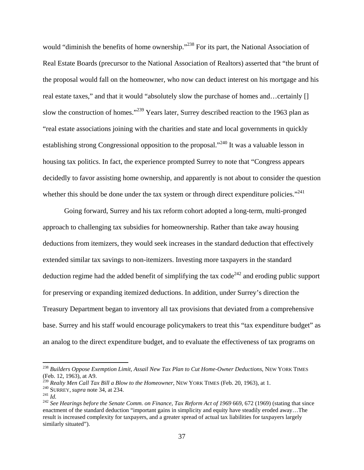would "diminish the benefits of home ownership."<sup>238</sup> For its part, the National Association of Real Estate Boards (precursor to the National Association of Realtors) asserted that "the brunt of the proposal would fall on the homeowner, who now can deduct interest on his mortgage and his real estate taxes," and that it would "absolutely slow the purchase of homes and…certainly [] slow the construction of homes."<sup>239</sup> Years later, Surrey described reaction to the 1963 plan as "real estate associations joining with the charities and state and local governments in quickly establishing strong Congressional opposition to the proposal."<sup>240</sup> It was a valuable lesson in housing tax politics. In fact, the experience prompted Surrey to note that "Congress appears decidedly to favor assisting home ownership, and apparently is not about to consider the question whether this should be done under the tax system or through direct expenditure policies."<sup>241</sup>

Going forward, Surrey and his tax reform cohort adopted a long-term, multi-pronged approach to challenging tax subsidies for homeownership. Rather than take away housing deductions from itemizers, they would seek increases in the standard deduction that effectively extended similar tax savings to non-itemizers. Investing more taxpayers in the standard deduction regime had the added benefit of simplifying the tax code<sup>242</sup> and eroding public support for preserving or expanding itemized deductions. In addition, under Surrey's direction the Treasury Department began to inventory all tax provisions that deviated from a comprehensive base. Surrey and his staff would encourage policymakers to treat this "tax expenditure budget" as an analog to the direct expenditure budget, and to evaluate the effectiveness of tax programs on

<sup>238</sup> *Builders Oppose Exemption Limit, Assail New Tax Plan to Cut Home-Owner Deductions*, NEW YORK TIMES (Feb. 12, 1963), at A9.<br><sup>239</sup> Realty Men Call Tax Bill a Blow to the Homeowner, NEW YORK TIMES (Feb. 20, 1963), at 1.

<sup>&</sup>lt;sup>240</sup> SURREY, *supra* note 34, at 234.<br><sup>241</sup> Id.<br><sup>242</sup> See Hearings before the Senate Comm. on Finance, Tax Reform Act of 1969 669, 672 (1969) (stating that since enactment of the standard deduction "important gains in simplicity and equity have steadily eroded away…The result is increased complexity for taxpayers, and a greater spread of actual tax liabilities for taxpayers largely similarly situated").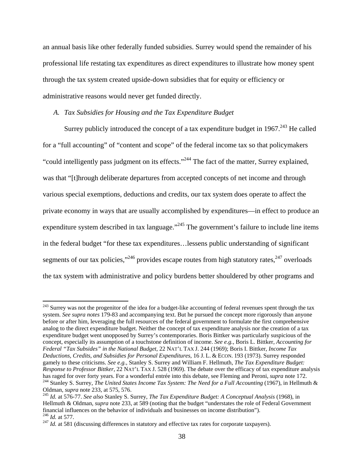an annual basis like other federally funded subsidies. Surrey would spend the remainder of his professional life restating tax expenditures as direct expenditures to illustrate how money spent through the tax system created upside-down subsidies that for equity or efficiency or administrative reasons would never get funded directly.

### *A. Tax Subsidies for Housing and the Tax Expenditure Budget*

1

Surrey publicly introduced the concept of a tax expenditure budget in  $1967$ <sup>243</sup> He called for a "full accounting" of "content and scope" of the federal income tax so that policymakers "could intelligently pass judgment on its effects."244 The fact of the matter, Surrey explained, was that "[t]hrough deliberate departures from accepted concepts of net income and through various special exemptions, deductions and credits, our tax system does operate to affect the private economy in ways that are usually accomplished by expenditures—in effect to produce an expenditure system described in tax language."<sup>245</sup> The government's failure to include line items in the federal budget "for these tax expenditures…lessens public understanding of significant segments of our tax policies,"  $246$  provides escape routes from high statutory rates,  $247$  overloads the tax system with administrative and policy burdens better shouldered by other programs and

<sup>&</sup>lt;sup>243</sup> Surrey was not the progenitor of the idea for a budget-like accounting of federal revenues spent through the tax system. *See supra notes* 179-83 and accompanying text. But he pursued the concept more rigorously than anyone before or after him, leveraging the full resources of the federal government to formulate the first comprehensive analog to the direct expenditure budget. Neither the concept of tax expenditure analysis nor the creation of a tax expenditure budget went unopposed by Surrey's contemporaries. Boris Bittker was particularly suspicious of the concept, especially its assumption of a touchstone definition of income. *See e.g.*, Boris L. Bittker, *Accounting for Federal "Tax Subsides" in the National Budget*, 22 NAT'L TAX J. 244 (1969); Boris I. Bittker, *Income Tax Deductions, Credits, and Subsidies for Personal Expenditures*, 16 J. L. & ECON. 193 (1973). Surrey responded gamely to these criticisms. *See e.g.*, Stanley S. Surrey and William F. Hellmuth, *The Tax Expenditure Budget: Response to Professor Bittker*, 22 NAT'L TAX J. 528 (1969). The debate over the efficacy of tax expenditure analysis has raged for over forty years. For a wonderful entrée into this debate, see Fleming and Peroni, *supra* note 172.<br><sup>244</sup> Stanley S. Surrey, *The United States Income Tax System: The Need for a Full Accounting* (1967), in H

<sup>&</sup>lt;sup>245</sup> *Id.* at 576-77. *See also* Stanley S. Surrey, *The Tax Expenditure Budget: A Conceptual Analysis* (1968), in Hellmuth & Oldman, *supra* note 233, at 589 (noting that the budget "understates the role of Federal Government financial influences on the behavior of individuals and businesses on income distribution").<br><sup>246</sup> *Id.* at 577.

 $^{247}$  *Id.* at 581 (discussing differences in statutory and effective tax rates for corporate taxpayers).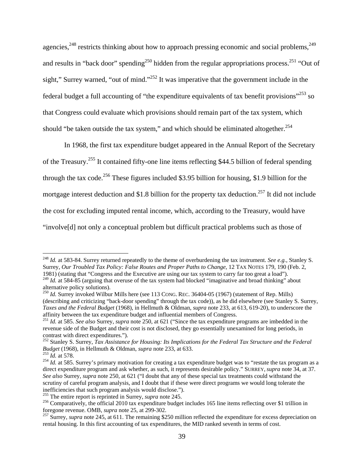agencies,<sup>248</sup> restricts thinking about how to approach pressing economic and social problems,<sup>249</sup> and results in "back door" spending<sup>250</sup> hidden from the regular appropriations process.<sup>251</sup> "Out of sight," Surrey warned, "out of mind."<sup>252</sup> It was imperative that the government include in the federal budget a full accounting of "the expenditure equivalents of tax benefit provisions"<sup>253</sup> so that Congress could evaluate which provisions should remain part of the tax system, which should "be taken outside the tax system," and which should be eliminated altogether. $254$ 

In 1968, the first tax expenditure budget appeared in the Annual Report of the Secretary of the Treasury.255 It contained fifty-one line items reflecting \$44.5 billion of federal spending through the tax code.<sup>256</sup> These figures included \$3.95 billion for housing, \$1.9 billion for the mortgage interest deduction and \$1.8 billion for the property tax deduction.<sup>257</sup> It did not include the cost for excluding imputed rental income, which, according to the Treasury, would have "involve[d] not only a conceptual problem but difficult practical problems such as those of

<sup>248</sup> *Id.* at 583-84. Surrey returned repeatedly to the theme of overburdening the tax instrument. *See e.g.*, Stanley S. Surrey, *Our Troubled Tax Policy: False Routes and Proper Paths to Change*, 12 TAX NOTES 179, 190 (Feb. 2, 1981) (stating that "Congress and the Executive are using our tax system to carry far too great a load").

<sup>&</sup>lt;sup>249</sup> *Id.* at 584-85 (arguing that overuse of the tax system had blocked "imaginative and broad thinking" about alternative policy solutions).

<sup>&</sup>lt;sup>250</sup> *Id.* Surrey invoked Wilbur Mills here (see 113 CONG. REC. 36404-05 (1967) (statement of Rep. Mills) (describing and criticizing "back-door spending" through the tax code)), as he did elsewhere (see Stanley S. Surrey, *Taxes and the Federal Budget* (1968), in Hellmuth & Oldman, *supra* note 233, at 613, 619-20), to underscore the affinity between the tax expenditure budget and influential members of Congress.

<sup>251</sup> *Id.* at 585. *See also* Surrey, *supra* note 250, at 621 ("Since the tax expenditure programs are imbedded in the revenue side of the Budget and their cost is not disclosed, they go essentially unexamined for long periods, in contrast with direct expenditures.").

<sup>252</sup> Stanley S. Surrey, *Tax Assistance for Housing: Its Implications for the Federal Tax Structure and the Federal Budget* (1968), in Hellmuth & Oldman, *supra* note 233, at 633.<br><sup>253</sup> *Id.* at 578.<br><sup>254</sup> *Id.* at 585. Surrey's primary motivation for creating a tax expenditure budget was to "restate the tax program as a

direct expenditure program and ask whether, as such, it represents desirable policy." SURREY, *supra* note 34, at 37. *See also* Surrey, *supra* note 250, at 621 ("I doubt that any of these special tax treatments could withstand the scrutiny of careful program analysis, and I doubt that if these were direct programs we would long tolerate the inefficiencies that such program analysis would disclose.").

<sup>&</sup>lt;sup>255</sup> The entire report is reprinted in Surrey, *supra* note 245.<br><sup>256</sup> Comparatively, the official 2010 tax expenditure budget includes 165 line items reflecting over \$1 trillion in foregone revenue. OMB, *supra* note 25

foregone revenue. Only a more 25, at 2002, and  $\frac{1}{257}$  Surrey, *supra* note 245, at 611. The remaining \$250 million reflected the expenditure for excess depreciation on rental housing. In this first accounting of tax expenditures, the MID ranked seventh in terms of cost.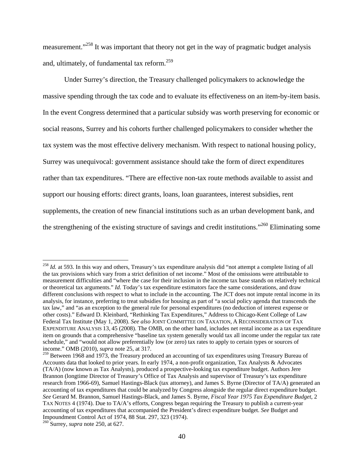measurement."<sup>258</sup> It was important that theory not get in the way of pragmatic budget analysis and, ultimately, of fundamental tax reform.259

Under Surrey's direction, the Treasury challenged policymakers to acknowledge the massive spending through the tax code and to evaluate its effectiveness on an item-by-item basis. In the event Congress determined that a particular subsidy was worth preserving for economic or social reasons, Surrey and his cohorts further challenged policymakers to consider whether the tax system was the most effective delivery mechanism. With respect to national housing policy, Surrey was unequivocal: government assistance should take the form of direct expenditures rather than tax expenditures. "There are effective non-tax route methods available to assist and support our housing efforts: direct grants, loans, loan guarantees, interest subsidies, rent supplements, the creation of new financial institutions such as an urban development bank, and the strengthening of the existing structure of savings and credit institutions."<sup>260</sup> Eliminating some

<sup>&</sup>lt;sup>258</sup> *Id.* at 593. In this way and others, Treasury's tax expenditure analysis did "not attempt a complete listing of all the tax provisions which vary from a strict definition of net income." Most of the omissions were attributable to measurement difficulties and "where the case for their inclusion in the income tax base stands on relatively technical or theoretical tax arguments." *Id.* Today's tax expenditure estimators face the same considerations, and draw different conclusions with respect to what to include in the accounting. The JCT does not impute rental income in its analysis, for instance, preferring to treat subsidies for housing as part of "a social policy agenda that transcends the tax law," and "as an exception to the general rule for personal expenditures (no deduction of interest expense or other costs)." Edward D. Kleinbard, "Rethinking Tax Expenditures," Address to Chicago-Kent College of Law Federal Tax Institute (May 1, 2008). *See also* JOINT COMMITTEE ON TAXATION, A RECONSIDERATION OF TAX EXPENDITURE ANALYSIS 13, 45 (2008). The OMB, on the other hand, includes net rental income as a tax expenditure item on grounds that a comprehensive "baseline tax system generally would tax all income under the regular tax rate schedule," and "would not allow preferentially low (or zero) tax rates to apply to certain types or sources of income." OMB (2010), *supra* note 25, at 317.

<sup>&</sup>lt;sup>259</sup> Between 1968 and 1973, the Treasury produced an accounting of tax expenditures using Treasury Bureau of Accounts data that looked to prior years. In early 1974, a non-profit organization, Tax Analysts & Advocates (TA/A) (now known as Tax Analysts), produced a prospective-looking tax expenditure budget. Authors Jere Brannon (longtime Director of Treasury's Office of Tax Analysis and supervisor of Treasury's tax expenditure research from 1966-69), Samuel Hastings-Black (tax attorney), and James S. Byrne (Director of TA/A) generated an accounting of tax expenditures that could be analyzed by Congress alongside the regular direct expenditure budget. *See* Gerard M. Brannon, Samuel Hastings-Black, and James S. Byrne, *Fiscal Year 1975 Tax Expenditure Budget*, 2 TAX NOTES 4 (1974). Due to TA/A's efforts, Congress began requiring the Treasury to publish a current-year accounting of tax expenditures that accompanied the President's direct expenditure budget. *See* Budget and Impoundment Control Act of 1974, 88 Stat. 297, 323 (1974).

<sup>260</sup> Surrey, *supra* note 250, at 627.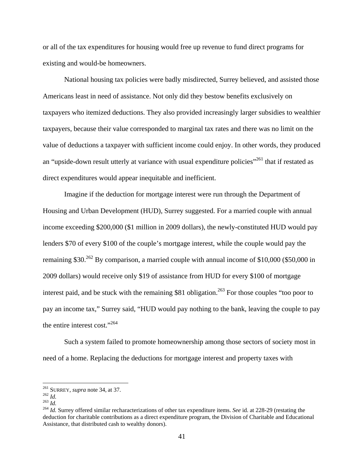or all of the tax expenditures for housing would free up revenue to fund direct programs for existing and would-be homeowners.

National housing tax policies were badly misdirected, Surrey believed, and assisted those Americans least in need of assistance. Not only did they bestow benefits exclusively on taxpayers who itemized deductions. They also provided increasingly larger subsidies to wealthier taxpayers, because their value corresponded to marginal tax rates and there was no limit on the value of deductions a taxpayer with sufficient income could enjoy. In other words, they produced an "upside-down result utterly at variance with usual expenditure policies"<sup>261</sup> that if restated as direct expenditures would appear inequitable and inefficient.

Imagine if the deduction for mortgage interest were run through the Department of Housing and Urban Development (HUD), Surrey suggested. For a married couple with annual income exceeding \$200,000 (\$1 million in 2009 dollars), the newly-constituted HUD would pay lenders \$70 of every \$100 of the couple's mortgage interest, while the couple would pay the remaining \$30.<sup>262</sup> By comparison, a married couple with annual income of \$10,000 (\$50,000 in 2009 dollars) would receive only \$19 of assistance from HUD for every \$100 of mortgage interest paid, and be stuck with the remaining  $$81$  obligation.<sup>263</sup> For those couples "too poor to pay an income tax," Surrey said, "HUD would pay nothing to the bank, leaving the couple to pay the entire interest cost."264

Such a system failed to promote homeownership among those sectors of society most in need of a home. Replacing the deductions for mortgage interest and property taxes with

 $261$  SURREY, *supra* note 34, at 37.

<sup>262</sup> *Id.*<br><sup>263</sup> *Id.*<br><sup>264</sup> *Id.* Surrey offered similar recharacterizations of other tax expenditure items. *See* id. at 228-29 (restating the deduction for charitable contributions as a direct expenditure program, the Division of Charitable and Educational Assistance, that distributed cash to wealthy donors).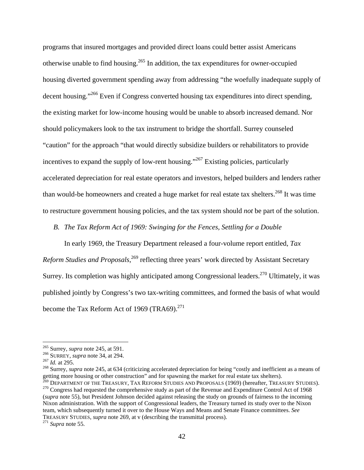programs that insured mortgages and provided direct loans could better assist Americans otherwise unable to find housing.265 In addition, the tax expenditures for owner-occupied housing diverted government spending away from addressing "the woefully inadequate supply of decent housing."266 Even if Congress converted housing tax expenditures into direct spending, the existing market for low-income housing would be unable to absorb increased demand. Nor should policymakers look to the tax instrument to bridge the shortfall. Surrey counseled "caution" for the approach "that would directly subsidize builders or rehabilitators to provide incentives to expand the supply of low-rent housing."267 Existing policies, particularly accelerated depreciation for real estate operators and investors, helped builders and lenders rather than would-be homeowners and created a huge market for real estate tax shelters.<sup>268</sup> It was time to restructure government housing policies, and the tax system should *not* be part of the solution.

*B. The Tax Reform Act of 1969: Swinging for the Fences, Settling for a Double* 

In early 1969, the Treasury Department released a four-volume report entitled, *Tax*  Reform Studies and Proposals,<sup>269</sup> reflecting three years' work directed by Assistant Secretary Surrey. Its completion was highly anticipated among Congressional leaders.<sup>270</sup> Ultimately, it was published jointly by Congress's two tax-writing committees, and formed the basis of what would become the Tax Reform Act of 1969 (TRA69). $^{271}$ 

<sup>&</sup>lt;sup>265</sup> Surrey, *supra* note 245, at 591.<br><sup>266</sup> SURREY, *supra* note 34, at 294.<br><sup>267</sup> Id. at 295.<br><sup>268</sup> Surrey, *supra* note 245, at 634 (criticizing accelerated depreciation for being "costly and inefficient as a means of getting more housing or other construction" and for spawning the market for real estate tax shelters).<br><sup>269</sup> DEPARTMENT OF THE TREASURY, TAX REFORM STUDIES AND PROPOSALS (1969) (hereafter, TREASURY STUDIES).

 $^{270}$  Congress had requested the comprehensive study as part of the Revenue and Expenditure Control Act of 1968 (*supra* note 55), but President Johnson decided against releasing the study on grounds of fairness to the incoming Nixon administration. With the support of Congressional leaders, the Treasury turned its study over to the Nixon team, which subsequently turned it over to the House Ways and Means and Senate Finance committees. *See* TREASURY STUDIES, *supra* note 269, at v (describing the transmittal process). 271 *Supra* note 55.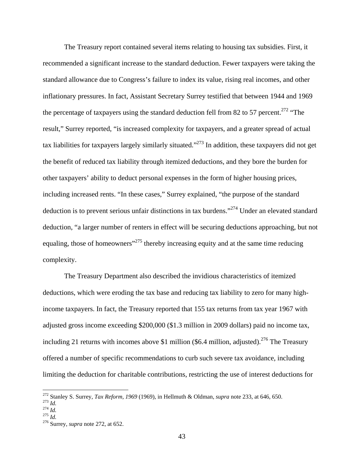The Treasury report contained several items relating to housing tax subsidies. First, it recommended a significant increase to the standard deduction. Fewer taxpayers were taking the standard allowance due to Congress's failure to index its value, rising real incomes, and other inflationary pressures. In fact, Assistant Secretary Surrey testified that between 1944 and 1969 the percentage of taxpayers using the standard deduction fell from 82 to 57 percent.<sup>272</sup> "The result," Surrey reported, "is increased complexity for taxpayers, and a greater spread of actual tax liabilities for taxpayers largely similarly situated."273 In addition, these taxpayers did not get the benefit of reduced tax liability through itemized deductions, and they bore the burden for other taxpayers' ability to deduct personal expenses in the form of higher housing prices, including increased rents. "In these cases," Surrey explained, "the purpose of the standard deduction is to prevent serious unfair distinctions in tax burdens."274 Under an elevated standard deduction, "a larger number of renters in effect will be securing deductions approaching, but not equaling, those of homeowners"<sup>275</sup> thereby increasing equity and at the same time reducing complexity.

The Treasury Department also described the invidious characteristics of itemized deductions, which were eroding the tax base and reducing tax liability to zero for many highincome taxpayers. In fact, the Treasury reported that 155 tax returns from tax year 1967 with adjusted gross income exceeding \$200,000 (\$1.3 million in 2009 dollars) paid no income tax, including 21 returns with incomes above \$1 million (\$6.4 million, adjusted).<sup>276</sup> The Treasury offered a number of specific recommendations to curb such severe tax avoidance, including limiting the deduction for charitable contributions, restricting the use of interest deductions for

<sup>&</sup>lt;sup>272</sup> Stanley S. Surrey, *Tax Reform, 1969* (1969), in Hellmuth & Oldman, *supra* note 233, at 646, 650.<br><sup>273</sup> *Id.*<br><sup>274</sup> *Id.* 275 *Id.* 276 Surrey, *supra* note 272, at 652.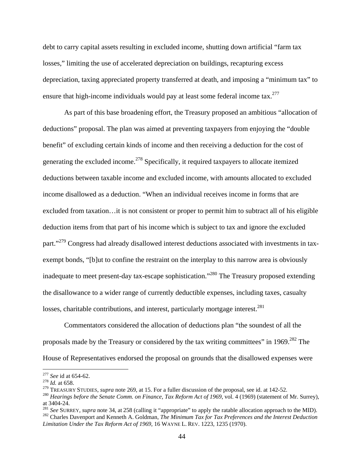debt to carry capital assets resulting in excluded income, shutting down artificial "farm tax losses," limiting the use of accelerated depreciation on buildings, recapturing excess depreciation, taxing appreciated property transferred at death, and imposing a "minimum tax" to ensure that high-income individuals would pay at least some federal income tax.<sup>277</sup>

As part of this base broadening effort, the Treasury proposed an ambitious "allocation of deductions" proposal. The plan was aimed at preventing taxpayers from enjoying the "double benefit" of excluding certain kinds of income and then receiving a deduction for the cost of generating the excluded income.<sup>278</sup> Specifically, it required taxpayers to allocate itemized deductions between taxable income and excluded income, with amounts allocated to excluded income disallowed as a deduction. "When an individual receives income in forms that are excluded from taxation…it is not consistent or proper to permit him to subtract all of his eligible deduction items from that part of his income which is subject to tax and ignore the excluded part."<sup>279</sup> Congress had already disallowed interest deductions associated with investments in taxexempt bonds, "[b]ut to confine the restraint on the interplay to this narrow area is obviously inadequate to meet present-day tax-escape sophistication."280 The Treasury proposed extending the disallowance to a wider range of currently deductible expenses, including taxes, casualty losses, charitable contributions, and interest, particularly mortgage interest. $^{281}$ 

Commentators considered the allocation of deductions plan "the soundest of all the proposals made by the Treasury or considered by the tax writing committees" in 1969.<sup>282</sup> The House of Representatives endorsed the proposal on grounds that the disallowed expenses were

<sup>&</sup>lt;sup>277</sup> *See* id at 654-62.<br><sup>278</sup> *Id*. at 658.

<sup>&</sup>lt;sup>278</sup> *Id.* at 658.<br><sup>279</sup> TREASURY STUDIES, *supra* note 269, at 15. For a fuller discussion of the proposal, see id. at 142-52.<br><sup>279</sup> TREASURY STUDIES, *supra* note 269, at 15. For a fuller discussion of the proposal, se

at 3404-24.<br><sup>281</sup> See SURREY, *supra* note 34, at 258 (calling it "appropriate" to apply the ratable allocation approach to the MID).

<sup>&</sup>lt;sup>282</sup> Charles Davenport and Kenneth A. Goldman, *The Minimum Tax for Tax Preferences and the Interest Deduction Limitation Under the Tax Reform Act of 1969*, 16 WAYNE L. REV. 1223, 1235 (1970).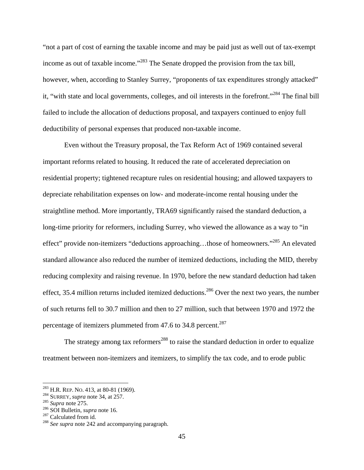"not a part of cost of earning the taxable income and may be paid just as well out of tax-exempt income as out of taxable income."<sup>283</sup> The Senate dropped the provision from the tax bill, however, when, according to Stanley Surrey, "proponents of tax expenditures strongly attacked" it, "with state and local governments, colleges, and oil interests in the forefront."284 The final bill failed to include the allocation of deductions proposal, and taxpayers continued to enjoy full deductibility of personal expenses that produced non-taxable income.

Even without the Treasury proposal, the Tax Reform Act of 1969 contained several important reforms related to housing. It reduced the rate of accelerated depreciation on residential property; tightened recapture rules on residential housing; and allowed taxpayers to depreciate rehabilitation expenses on low- and moderate-income rental housing under the straightline method. More importantly, TRA69 significantly raised the standard deduction, a long-time priority for reformers, including Surrey, who viewed the allowance as a way to "in effect" provide non-itemizers "deductions approaching…those of homeowners."285 An elevated standard allowance also reduced the number of itemized deductions, including the MID, thereby reducing complexity and raising revenue. In 1970, before the new standard deduction had taken effect, 35.4 million returns included itemized deductions.<sup>286</sup> Over the next two years, the number of such returns fell to 30.7 million and then to 27 million, such that between 1970 and 1972 the percentage of itemizers plummeted from 47.6 to 34.8 percent.<sup>287</sup>

The strategy among tax reformers<sup>288</sup> to raise the standard deduction in order to equalize treatment between non-itemizers and itemizers, to simplify the tax code, and to erode public

<sup>&</sup>lt;sup>283</sup> H.R. REP. No. 413, at 80-81 (1969).<br><sup>284</sup> SURREY, *supra* note 34, at 257.<br><sup>285</sup> Supra note 275.<br><sup>285</sup> SOI Bulletin, *supra* note 16.<br><sup>287</sup> Calculated from id.<br><sup>288</sup> See *supra* note 242 and accompanying paragraph.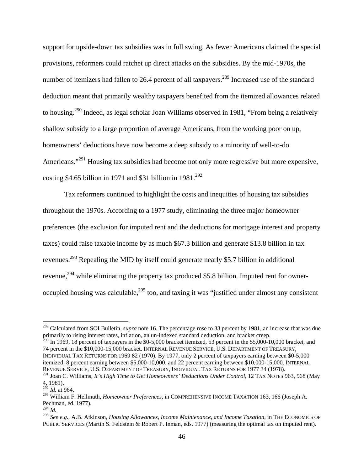support for upside-down tax subsidies was in full swing. As fewer Americans claimed the special provisions, reformers could ratchet up direct attacks on the subsidies. By the mid-1970s, the number of itemizers had fallen to 26.4 percent of all taxpayers.<sup>289</sup> Increased use of the standard deduction meant that primarily wealthy taxpayers benefited from the itemized allowances related to housing.<sup>290</sup> Indeed, as legal scholar Joan Williams observed in 1981, "From being a relatively shallow subsidy to a large proportion of average Americans, from the working poor on up, homeowners' deductions have now become a deep subsidy to a minority of well-to-do Americans."<sup>291</sup> Housing tax subsidies had become not only more regressive but more expensive, costing \$4.65 billion in 1971 and \$31 billion in  $1981.<sup>292</sup>$ 

Tax reformers continued to highlight the costs and inequities of housing tax subsidies throughout the 1970s. According to a 1977 study, eliminating the three major homeowner preferences (the exclusion for imputed rent and the deductions for mortgage interest and property taxes) could raise taxable income by as much \$67.3 billion and generate \$13.8 billion in tax revenues.293 Repealing the MID by itself could generate nearly \$5.7 billion in additional revenue,<sup>294</sup> while eliminating the property tax produced \$5.8 billion. Imputed rent for owneroccupied housing was calculable, $295$  too, and taxing it was "justified under almost any consistent

 $^{290}$  In 1969, 18 percent of taxpayers in the \$0-5,000 bracket itemized, 53 percent in the \$5,000-10,000 bracket, and 74 percent in the \$10,000-15,000 bracket. INTERNAL REVENUE SERVICE, U.S. DEPARTMENT OF TREASURY, INDIVIDUAL TAX RETURNS FOR 1969 82 (1970). By 1977, only 2 percent of taxpayers earning between \$0-5,000 itemized, 8 percent earning between \$5,000-10,000, and 22 percent earning between \$10,000-15,000. INTERNAL REVENUE SERVICE, U.S. DEPARTMENT OF TREASURY, INDIVIDUAL TAX RETURNS FOR 1977 34 (1978).

<sup>&</sup>lt;sup>289</sup> Calculated from SOI Bulletin, *supra* note 16. The percentage rose to 33 percent by 1981, an increase that was due primarily to rising interest rates, inflation, an un-indexed standard deduction, and bracket creep.

<sup>291</sup> Joan C. Williams, *It's High Time to Get Homeowners' Deductions Under Control*, 12 TAX NOTES 963, 968 (May 4, 1981).

<sup>292</sup> *Id.* at 964.

<sup>293</sup> William F. Hellmuth, *Homeowner Preferences*, in COMPREHENSIVE INCOME TAXATION 163, 166 (Joseph A. Pechman, ed. 1977).<br><sup>294</sup> Id.

<sup>294</sup> *Id.* 295 *See e.g.*, A.B. Atkinson, *Housing Allowances, Income Maintenance, and Income Taxation*, in THE ECONOMICS OF PUBLIC SERVICES (Martin S. Feldstein & Robert P. Inman, eds. 1977) (measuring the optimal tax on imputed rent).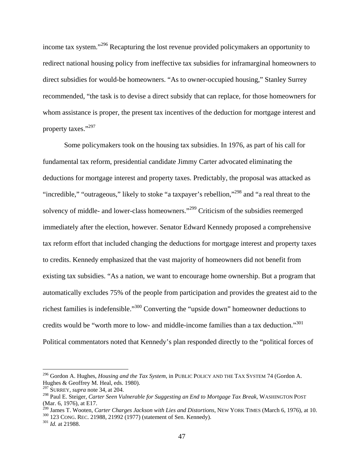income tax system."296 Recapturing the lost revenue provided policymakers an opportunity to redirect national housing policy from ineffective tax subsidies for inframarginal homeowners to direct subsidies for would-be homeowners. "As to owner-occupied housing," Stanley Surrey recommended, "the task is to devise a direct subsidy that can replace, for those homeowners for whom assistance is proper, the present tax incentives of the deduction for mortgage interest and property taxes."297

Some policymakers took on the housing tax subsidies. In 1976, as part of his call for fundamental tax reform, presidential candidate Jimmy Carter advocated eliminating the deductions for mortgage interest and property taxes. Predictably, the proposal was attacked as "incredible," "outrageous," likely to stoke "a taxpayer's rebellion,"298 and "a real threat to the solvency of middle- and lower-class homeowners."299 Criticism of the subsidies reemerged immediately after the election, however. Senator Edward Kennedy proposed a comprehensive tax reform effort that included changing the deductions for mortgage interest and property taxes to credits. Kennedy emphasized that the vast majority of homeowners did not benefit from existing tax subsidies. "As a nation, we want to encourage home ownership. But a program that automatically excludes 75% of the people from participation and provides the greatest aid to the richest families is indefensible."300 Converting the "upside down" homeowner deductions to credits would be "worth more to low- and middle-income families than a tax deduction."<sup>301</sup> Political commentators noted that Kennedy's plan responded directly to the "political forces of

<sup>296</sup> Gordon A. Hughes, *Housing and the Tax System*, in PUBLIC POLICY AND THE TAX SYSTEM 74 (Gordon A. Hughes & Geoffrey M. Heal, eds. 1980).

<sup>297</sup> SURREY, *supra* note 34, at 204.

<sup>298</sup> Paul E. Steiger, *Carter Seen Vulnerable for Suggesting an End to Mortgage Tax Break*, WASHINGTON POST (Mar. 6, 1976), at E17.

<sup>&</sup>lt;sup>299</sup> James T. Wooten, *Carter Charges Jackson with Lies and Distortions*, NEW YORK TIMES (March 6, 1976), at 10. <sup>300</sup> 123 CONG. REC. 21988, 21992 (1977) (statement of Sen. Kennedy). <sup>301</sup> *Id.* at 21988.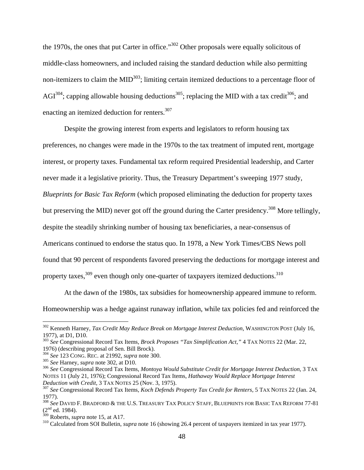the 1970s, the ones that put Carter in office."302 Other proposals were equally solicitous of middle-class homeowners, and included raising the standard deduction while also permitting non-itemizers to claim the  $MID<sup>303</sup>$ ; limiting certain itemized deductions to a percentage floor of AGI<sup>304</sup>; capping allowable housing deductions<sup>305</sup>; replacing the MID with a tax credit<sup>306</sup>; and enacting an itemized deduction for renters.<sup>307</sup>

Despite the growing interest from experts and legislators to reform housing tax preferences, no changes were made in the 1970s to the tax treatment of imputed rent, mortgage interest, or property taxes. Fundamental tax reform required Presidential leadership, and Carter never made it a legislative priority. Thus, the Treasury Department's sweeping 1977 study, *Blueprints for Basic Tax Reform* (which proposed eliminating the deduction for property taxes but preserving the MID) never got off the ground during the Carter presidency.<sup>308</sup> More tellingly, despite the steadily shrinking number of housing tax beneficiaries, a near-consensus of Americans continued to endorse the status quo. In 1978, a New York Times/CBS News poll found that 90 percent of respondents favored preserving the deductions for mortgage interest and property taxes,  $309$  even though only one-quarter of taxpayers itemized deductions.  $310$ 

At the dawn of the 1980s, tax subsidies for homeownership appeared immune to reform. Homeownership was a hedge against runaway inflation, while tax policies fed and reinforced the

<sup>302</sup> Kenneth Harney, *Tax Credit May Reduce Break on Mortgage Interest Deduction*, WASHINGTON POST (July 16, 1977), at D1, D10.

<sup>303</sup> *See* Congressional Record Tax Items, *Brock Proposes "Tax Simplification Act,"* 4 TAX NOTES 22 (Mar. 22, 1976) (describing proposal of Sen. Bill Brock).

<sup>&</sup>lt;sup>304</sup> See 123 CONG. REC. at 21992, *supra* note 300.<br><sup>305</sup> See Harney, *supra* note 302, at D10.<br><sup>305</sup> See Congressional Record Tax Items, *Montoya Would Substitute Credit for Mortgage Interest Deduction*, 3 TAX NOTES 11 (July 21, 1976); Congressional Record Tax Items, *Hathaway Would Replace Mortgage Interest* 

<sup>&</sup>lt;sup>307</sup> See Congressional Record Tax Items, *Koch Defends Property Tax Credit for Renters*, 5 TAX NOTES 22 (Jan. 24, 1977).

<sup>308</sup> *See* DAVID F. BRADFORD & THE U.S. TREASURY TAX POLICY STAFF, BLUEPRINTS FOR BASIC TAX REFORM 77-81  $(2<sup>nd</sup>$  ed. 1984).<br><sup>309</sup> Roberts, *supra* note 15, at A17.

<sup>&</sup>lt;sup>310</sup> Calculated from SOI Bulletin, *supra* note 16 (showing 26.4 percent of taxpayers itemized in tax year 1977).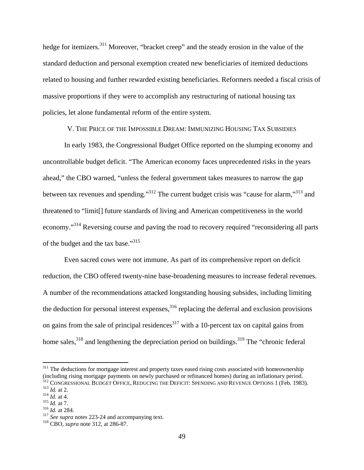hedge for itemizers.<sup>311</sup> Moreover, "bracket creep" and the steady erosion in the value of the standard deduction and personal exemption created new beneficiaries of itemized deductions related to housing and further rewarded existing beneficiaries. Reformers needed a fiscal crisis of massive proportions if they were to accomplish any restructuring of national housing tax policies, let alone fundamental reform of the entire system.

V. THE PRICE OF THE IMPOSSIBLE DREAM: IMMUNIZING HOUSING TAX SUBSIDIES

In early 1983, the Congressional Budget Office reported on the slumping economy and uncontrollable budget deficit. "The American economy faces unprecedented risks in the years ahead," the CBO warned, "unless the federal government takes measures to narrow the gap between tax revenues and spending."312 The current budget crisis was "cause for alarm,"313 and threatened to "limit[] future standards of living and American competitiveness in the world economy."<sup>314</sup> Reversing course and paving the road to recovery required "reconsidering all parts" of the budget and the tax base."<sup>315</sup>

Even sacred cows were not immune. As part of its comprehensive report on deficit reduction, the CBO offered twenty-nine base-broadening measures to increase federal revenues. A number of the recommendations attacked longstanding housing subsides, including limiting the deduction for personal interest expenses,  $316$  replacing the deferral and exclusion provisions on gains from the sale of principal residences<sup>317</sup> with a 10-percent tax on capital gains from home sales, $318$  and lengthening the depreciation period on buildings.  $319$  The "chronic federal"

<sup>&</sup>lt;sup>311</sup> The deductions for mortgage interest and property taxes eased rising costs associated with homeownership (including rising mortgage payments on newly purchased or refinanced homes) during an inflationary period. <sup>312</sup> CONGRESSIONAL BUDGET OFFICE, REDUCING THE DEFICIT: SPENDING AND REVENUE OPTIONS 1 (Feb. 1983).<br><sup>313</sup> *Id.* at 2.<br><sup>314</sup> *Id.* at 4.<br><sup>315</sup> *Id.* at 7.<br><sup>315</sup> *Id.* at 7.<br><sup>316</sup> *Id.* at 284.<br><sup>316</sup> *Id.* at 284.<br><sup>316</sup> *I*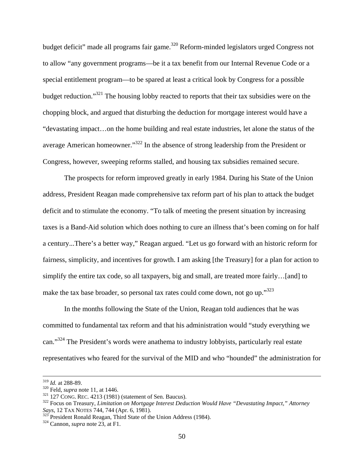budget deficit" made all programs fair game.<sup>320</sup> Reform-minded legislators urged Congress not to allow "any government programs—be it a tax benefit from our Internal Revenue Code or a special entitlement program—to be spared at least a critical look by Congress for a possible budget reduction."321 The housing lobby reacted to reports that their tax subsidies were on the chopping block, and argued that disturbing the deduction for mortgage interest would have a "devastating impact…on the home building and real estate industries, let alone the status of the average American homeowner."322 In the absence of strong leadership from the President or Congress, however, sweeping reforms stalled, and housing tax subsidies remained secure.

The prospects for reform improved greatly in early 1984. During his State of the Union address, President Reagan made comprehensive tax reform part of his plan to attack the budget deficit and to stimulate the economy. "To talk of meeting the present situation by increasing taxes is a Band-Aid solution which does nothing to cure an illness that's been coming on for half a century...There's a better way," Reagan argued. "Let us go forward with an historic reform for fairness, simplicity, and incentives for growth. I am asking [the Treasury] for a plan for action to simplify the entire tax code, so all taxpayers, big and small, are treated more fairly…[and] to make the tax base broader, so personal tax rates could come down, not go up."<sup>323</sup>

In the months following the State of the Union, Reagan told audiences that he was committed to fundamental tax reform and that his administration would "study everything we can."<sup>324</sup> The President's words were anathema to industry lobbyists, particularly real estate representatives who feared for the survival of the MID and who "hounded" the administration for

<sup>&</sup>lt;sup>319</sup> *Id.* at 288-89.<br><sup>320</sup> Feld, *supra* note 11, at 1446.<br><sup>321</sup> 127 CONG. REC. 4213 (1981) (statement of Sen. Baucus).<br><sup>322</sup> Focus on Treasury, *Limitation on Mortgage Interest Deduction Would Have "Devastating Impact,* 

<sup>&</sup>lt;sup>323</sup> President Ronald Reagan, Third State of the Union Address (1984). <sup>324</sup> Cannon, *supra* note 23, at F1.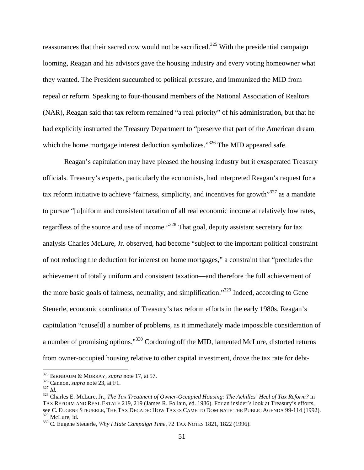reassurances that their sacred cow would not be sacrificed.<sup>325</sup> With the presidential campaign looming, Reagan and his advisors gave the housing industry and every voting homeowner what they wanted. The President succumbed to political pressure, and immunized the MID from repeal or reform. Speaking to four-thousand members of the National Association of Realtors (NAR), Reagan said that tax reform remained "a real priority" of his administration, but that he had explicitly instructed the Treasury Department to "preserve that part of the American dream which the home mortgage interest deduction symbolizes."<sup>326</sup> The MID appeared safe.

Reagan's capitulation may have pleased the housing industry but it exasperated Treasury officials. Treasury's experts, particularly the economists, had interpreted Reagan's request for a tax reform initiative to achieve "fairness, simplicity, and incentives for growth" $327$  as a mandate to pursue "[u]niform and consistent taxation of all real economic income at relatively low rates, regardless of the source and use of income."328 That goal, deputy assistant secretary for tax analysis Charles McLure, Jr. observed, had become "subject to the important political constraint of not reducing the deduction for interest on home mortgages," a constraint that "precludes the achievement of totally uniform and consistent taxation—and therefore the full achievement of the more basic goals of fairness, neutrality, and simplification."329 Indeed, according to Gene Steuerle, economic coordinator of Treasury's tax reform efforts in the early 1980s, Reagan's capitulation "cause[d] a number of problems, as it immediately made impossible consideration of a number of promising options."330 Cordoning off the MID, lamented McLure, distorted returns from owner-occupied housing relative to other capital investment, drove the tax rate for debt-

<sup>&</sup>lt;sup>325</sup> BIRNBAUM & MURRAY, *supra* note 17, at 57.<br><sup>326</sup> Cannon, *supra* note 23, at F1.<br><sup>327</sup> *Id.* 328 Charles E. McLure, Jr., *The Tax Treatment of Owner-Occupied Housing: The Achilles' Heel of Tax Reform?* in TAX REFORM AND REAL ESTATE 219, 219 (James R. Follain, ed. 1986). For an insider's look at Treasury's efforts, see C. EUGENE STEUERLE, THE TAX DECADE: HOW TAXES CAME TO DOMINATE THE PUBLIC AGENDA 99-114 (1992).<br><sup>329</sup> McLure. id.

<sup>&</sup>lt;sup>330</sup> C. Eugene Steuerle, *Why I Hate Campaign Time*, 72 TAX NOTES 1821, 1822 (1996).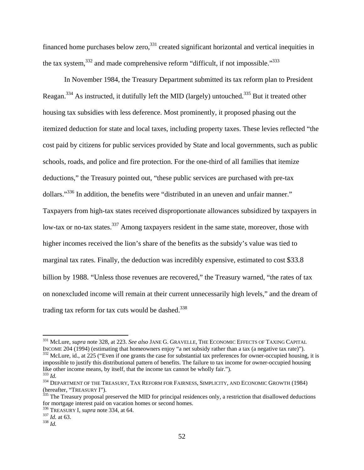financed home purchases below zero, $331$  created significant horizontal and vertical inequities in the tax system,  $332$  and made comprehensive reform "difficult, if not impossible." $333$ 

In November 1984, the Treasury Department submitted its tax reform plan to President Reagan.334 As instructed, it dutifully left the MID (largely) untouched.335 But it treated other housing tax subsidies with less deference. Most prominently, it proposed phasing out the itemized deduction for state and local taxes, including property taxes. These levies reflected "the cost paid by citizens for public services provided by State and local governments, such as public schools, roads, and police and fire protection. For the one-third of all families that itemize deductions," the Treasury pointed out, "these public services are purchased with pre-tax dollars."<sup>336</sup> In addition, the benefits were "distributed in an uneven and unfair manner." Taxpayers from high-tax states received disproportionate allowances subsidized by taxpayers in low-tax or no-tax states.<sup>337</sup> Among taxpayers resident in the same state, moreover, those with higher incomes received the lion's share of the benefits as the subsidy's value was tied to marginal tax rates. Finally, the deduction was incredibly expensive, estimated to cost \$33.8 billion by 1988. "Unless those revenues are recovered," the Treasury warned, "the rates of tax on nonexcluded income will remain at their current unnecessarily high levels," and the dream of trading tax reform for tax cuts would be dashed. $338$ 

<sup>&</sup>lt;sup>331</sup> McLure, *supra* note 328, at 223. *See also* JANE G. GRAVELLE, THE ECONOMIC EFFECTS OF TAXING CAPITAL INCOME 204 (1994) (estimating that homeowners enjoy "a net subsidy rather than a tax (a negative tax rate)"). 332 McLure, id., at 225 ("Even if one grants the case for substantial tax preferences for owner-occupied housing, it is impossible to justify this distributional pattern of benefits. The failure to tax income for owner-occupied housing<br>like other income means, by itself, that the income tax cannot be wholly fair.").

<sup>&</sup>lt;sup>333</sup> Id.<br><sup>334</sup> DEPARTMENT OF THE TREASURY, TAX REFORM FOR FAIRNESS, SIMPLICITY, AND ECONOMIC GROWTH (1984)<br>(hereafter, "TREASURY I").

 $\frac{335}{135}$  The Treasury proposal preserved the MID for principal residences only, a restriction that disallowed deductions for mortgage interest paid on vacation homes or second homes.

<sup>336</sup> TREASURY I, *supra* note 334, at 64. <sup>337</sup> *Id.* at 63. 338 *Id.*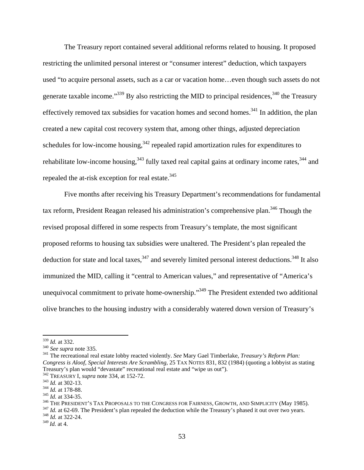The Treasury report contained several additional reforms related to housing. It proposed restricting the unlimited personal interest or "consumer interest" deduction, which taxpayers used "to acquire personal assets, such as a car or vacation home…even though such assets do not generate taxable income." $339$  By also restricting the MID to principal residences,  $340$  the Treasury effectively removed tax subsidies for vacation homes and second homes.<sup>341</sup> In addition, the plan created a new capital cost recovery system that, among other things, adjusted depreciation schedules for low-income housing, $342$  repealed rapid amortization rules for expenditures to rehabilitate low-income housing,  $343$  fully taxed real capital gains at ordinary income rates,  $344$  and repealed the at-risk exception for real estate.<sup>345</sup>

Five months after receiving his Treasury Department's recommendations for fundamental tax reform, President Reagan released his administration's comprehensive plan.<sup>346</sup> Though the revised proposal differed in some respects from Treasury's template, the most significant proposed reforms to housing tax subsidies were unaltered. The President's plan repealed the deduction for state and local taxes,<sup>347</sup> and severely limited personal interest deductions.<sup>348</sup> It also immunized the MID, calling it "central to American values," and representative of "America's unequivocal commitment to private home-ownership."349 The President extended two additional olive branches to the housing industry with a considerably watered down version of Treasury's

 $339$  *Id.* at 332.

<sup>&</sup>lt;sup>340</sup> *See supra* note 335.<br><sup>341</sup> The recreational real estate lobby reacted violently. *See* Mary Gael Timberlake, *Treasury's Reform Plan: Congress is Aloof, Special Interests Are Scrambling*, 25 TAX NOTES 831, 832 (1984) (quoting a lobbyist as stating Treasury's plan would "devastate" recreational real estate and "wipe us out").

<sup>&</sup>lt;sup>342</sup> TREASURY I, *supra* note 334, at 152-72.<br><sup>343</sup> *Id.* at 302-13.<br><sup>344</sup> *Id.* at 178-88.<br><sup>345</sup> THE PRESIDENT'S TAX PROPOSALS TO THE CONGRESS FOR FAIRNESS, GROWTH, AND SIMPLICITY (May 1985).<br><sup>346</sup> THE PRESIDENT'S TAX P

<sup>349</sup> *Id.* at 4.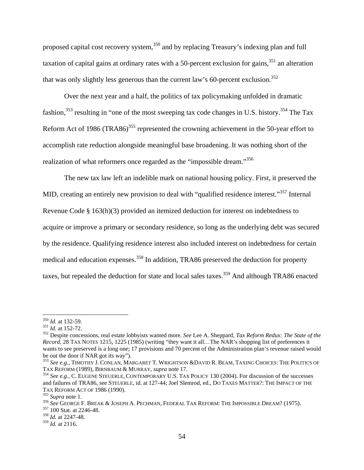proposed capital cost recovery system,<sup>350</sup> and by replacing Treasury's indexing plan and full taxation of capital gains at ordinary rates with a 50-percent exclusion for gains,  $351$  an alteration that was only slightly less generous than the current law's 60-percent exclusion.<sup>352</sup>

Over the next year and a half, the politics of tax policymaking unfolded in dramatic fashion,  $353$  resulting in "one of the most sweeping tax code changes in U.S. history.<sup>354</sup> The Tax Reform Act of 1986 (TRA86)<sup>355</sup> represented the crowning achievement in the 50-year effort to accomplish rate reduction alongside meaningful base broadening. It was nothing short of the realization of what reformers once regarded as the "impossible dream."356

The new tax law left an indelible mark on national housing policy. First, it preserved the MID, creating an entirely new provision to deal with "qualified residence interest."<sup>357</sup> Internal Revenue Code § 163(h)(3) provided an itemized deduction for interest on indebtedness to acquire or improve a primary or secondary residence, so long as the underlying debt was secured by the residence. Qualifying residence interest also included interest on indebtedness for certain medical and education expenses.<sup>358</sup> In addition, TRA86 preserved the deduction for property taxes, but repealed the deduction for state and local sales taxes.<sup>359</sup> And although TRA86 enacted

 $350$  *Id.* at 132-59.

<sup>350</sup> *Id.* at 132-59. 351 *Id.* at 152-72. 352 Despite concessions, real estate lobbyists wanted more. *See* Lee A. Sheppard, *Tax Reform Redux: The State of the Record*, 28 TAX NOTES 1215, 1225 (1985) (writing "they want it all…The NAR's shopping list of preferences it wants to see preserved is a long one; 17 provisions and 70 percent of the Administration plan's revenue raised would be out the door if NAR got its way").

<sup>&</sup>lt;sup>353</sup> See e.g., TIMOTHY J. CONLAN, MARGARET T. WRIGHTSON &DAVID R. BEAM, TAXING CHOICES: THE POLITICS OF TAX REFORM (1989), BIRNBAUM & MURRAY, *supra* note 17.

<sup>&</sup>lt;sup>354</sup> See e.g., C. EUGENE STEUERLE, CONTEMPORARY U.S. TAX POLICY 130 (2004). For discussion of the successes and failures of TRA86, see STEUERLE, id. at 127-44; Joel Slemrod, ed., DO TAXES MATTER?: THE IMPACT OF THE TAX REFORM ACT OF 1986 (1990).<br><sup>355</sup> *Supra* note 1.<br><sup>356</sup> *See* GEORGE F. BREAK & JOSEPH A. PECHMAN, FEDERAL TAX REFORM: THE IMPOSSIBLE DREAM? (1975).<br><sup>357</sup> 100 Stat. at 2246-48.<br><sup>358</sup> *Id.* at 2247-48.

<sup>359</sup> *Id.* at 2116.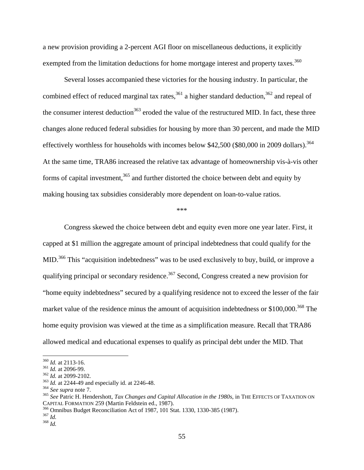a new provision providing a 2-percent AGI floor on miscellaneous deductions, it explicitly exempted from the limitation deductions for home mortgage interest and property taxes.<sup>360</sup>

Several losses accompanied these victories for the housing industry. In particular, the combined effect of reduced marginal tax rates,<sup>361</sup> a higher standard deduction,<sup>362</sup> and repeal of the consumer interest deduction<sup>363</sup> eroded the value of the restructured MID. In fact, these three changes alone reduced federal subsidies for housing by more than 30 percent, and made the MID effectively worthless for households with incomes below \$42,500 (\$80,000 in 2009 dollars).<sup>364</sup> At the same time, TRA86 increased the relative tax advantage of homeownership vis-à-vis other forms of capital investment,  $365$  and further distorted the choice between debt and equity by making housing tax subsidies considerably more dependent on loan-to-value ratios.

#### \*\*\*

Congress skewed the choice between debt and equity even more one year later. First, it capped at \$1 million the aggregate amount of principal indebtedness that could qualify for the MID.<sup>366</sup> This "acquisition indebtedness" was to be used exclusively to buy, build, or improve a qualifying principal or secondary residence.<sup>367</sup> Second, Congress created a new provision for "home equity indebtedness" secured by a qualifying residence not to exceed the lesser of the fair market value of the residence minus the amount of acquisition indebtedness or  $$100,000.<sup>368</sup>$  The home equity provision was viewed at the time as a simplification measure. Recall that TRA86 allowed medical and educational expenses to qualify as principal debt under the MID. That

55

<sup>&</sup>lt;sup>360</sup> *Id.* at 2113-16.<br><sup>361</sup> *Id.* at 2096-99.<br><sup>362</sup> *Id.* at 2099-2102.<br><sup>363</sup> *Id.* at 2244-49 and especially id. at 2246-48.<br><sup>364</sup> *See supra* note 7.<br><sup>364</sup> *See supra* note 7.<br><sup>365</sup> *See* Patric H. Hendershott, *Tax C* CAPITAL FORMATION 259 (Martin Feldstein ed., 1987).<br><sup>366</sup> Omnibus Budget Reconciliation Act of 1987, 101 Stat. 1330, 1330-385 (1987).<br><sup>367</sup> *Id.*<br><sup>368</sup> *Id*.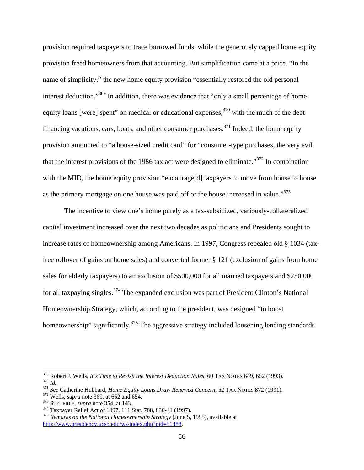provision required taxpayers to trace borrowed funds, while the generously capped home equity provision freed homeowners from that accounting. But simplification came at a price. "In the name of simplicity," the new home equity provision "essentially restored the old personal interest deduction."<sup>369</sup> In addition, there was evidence that "only a small percentage of home equity loans [were] spent" on medical or educational expenses,  $370$  with the much of the debt financing vacations, cars, boats, and other consumer purchases.<sup>371</sup> Indeed, the home equity provision amounted to "a house-sized credit card" for "consumer-type purchases, the very evil that the interest provisions of the 1986 tax act were designed to eliminate."<sup>372</sup> In combination with the MID, the home equity provision "encourage[d] taxpayers to move from house to house as the primary mortgage on one house was paid off or the house increased in value."<sup>373</sup>

The incentive to view one's home purely as a tax-subsidized, variously-collateralized capital investment increased over the next two decades as politicians and Presidents sought to increase rates of homeownership among Americans. In 1997, Congress repealed old § 1034 (taxfree rollover of gains on home sales) and converted former § 121 (exclusion of gains from home sales for elderly taxpayers) to an exclusion of \$500,000 for all married taxpayers and \$250,000 for all taxpaying singles.<sup>374</sup> The expanded exclusion was part of President Clinton's National Homeownership Strategy, which, according to the president, was designed "to boost homeownership" significantly.<sup>375</sup> The aggressive strategy included loosening lending standards

<sup>&</sup>lt;sup>369</sup> Robert J. Wells, It's Time to Revisit the Interest Deduction Rules, 60 TAX NOTES 649, 652 (1993). <sup>370</sup> *Id.*<br><sup>371</sup> *See* Catherine Hubbard, *Home Equity Loans Draw Renewed Concern*, 52 TAX NOTES 872 (1991).<br><sup>372</sup> Wells, *supra* note 369, at 652 and 654.<br><sup>373</sup> STEUERLE, *supra* note 354, at 143.<br><sup>374</sup> Taxpayer Relief

http://www.presidency.ucsb.edu/ws/index.php?pid=51488.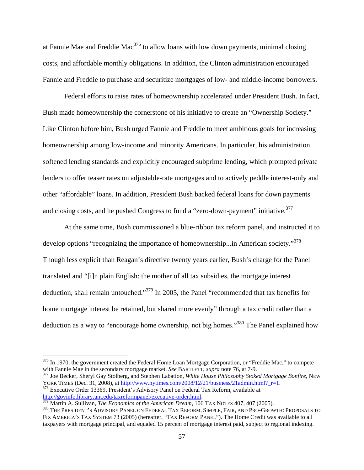at Fannie Mae and Freddie Mac<sup>376</sup> to allow loans with low down payments, minimal closing costs, and affordable monthly obligations. In addition, the Clinton administration encouraged Fannie and Freddie to purchase and securitize mortgages of low- and middle-income borrowers.

Federal efforts to raise rates of homeownership accelerated under President Bush. In fact, Bush made homeownership the cornerstone of his initiative to create an "Ownership Society." Like Clinton before him, Bush urged Fannie and Freddie to meet ambitious goals for increasing homeownership among low-income and minority Americans. In particular, his administration softened lending standards and explicitly encouraged subprime lending, which prompted private lenders to offer teaser rates on adjustable-rate mortgages and to actively peddle interest-only and other "affordable" loans. In addition, President Bush backed federal loans for down payments and closing costs, and he pushed Congress to fund a "zero-down-payment" initiative.<sup>377</sup>

At the same time, Bush commissioned a blue-ribbon tax reform panel, and instructed it to develop options "recognizing the importance of homeownership...in American society."<sup>378</sup> Though less explicit than Reagan's directive twenty years earlier, Bush's charge for the Panel translated and "[i]n plain English: the mother of all tax subsidies, the mortgage interest deduction, shall remain untouched."379 In 2005, the Panel "recommended that tax benefits for home mortgage interest be retained, but shared more evenly" through a tax credit rather than a deduction as a way to "encourage home ownership, not big homes."<sup>380</sup> The Panel explained how

<sup>377</sup> Joe Becker, Sheryl Gay Stolberg, and Stephen Labation, *White House Philosophy Stoked Mortgage Bonfire*, NEW YORK TIMES (Dec. 31, 2008), at http://www.nytimes.com/2008/12/21/business/21admin.html? r=1. <sup>378</sup> Executive Order 13369, President's Advisory Panel on Federal Tax Reform, available at

 $376$  In 1970, the government created the Federal Home Loan Mortgage Corporation, or "Freddie Mac," to compete with Fannie Mae in the secondary mortgage market. See BARTLETT, supra note 76, at 7-9.

http://govinfo.library.unt.edu/taxreformpanel/executive-order.html.<br><sup>379</sup> Martin A. Sullivan, *The Economics of the American Dream*, 106 TAX NOTES 407, 407 (2005).<br><sup>380</sup> THE PRESIDENT'S ADVISORY PANEL ON FEDERAL TAX REFORM FIX AMERICA'S TAX SYSTEM 73 (2005) (hereafter, "TAX REFORM PANEL"). The Home Credit was available to all taxpayers with mortgage principal, and equaled 15 percent of mortgage interest paid, subject to regional indexing.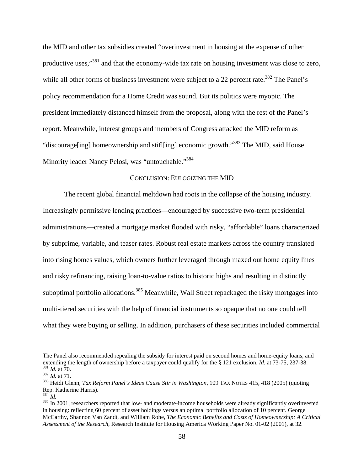the MID and other tax subsidies created "overinvestment in housing at the expense of other productive uses,"381 and that the economy-wide tax rate on housing investment was close to zero, while all other forms of business investment were subject to a 22 percent rate.<sup>382</sup> The Panel's policy recommendation for a Home Credit was sound. But its politics were myopic. The president immediately distanced himself from the proposal, along with the rest of the Panel's report. Meanwhile, interest groups and members of Congress attacked the MID reform as "discourage[ing] homeownership and stifl[ing] economic growth."383 The MID, said House Minority leader Nancy Pelosi, was "untouchable."<sup>384</sup>

### CONCLUSION: EULOGIZING THE MID

The recent global financial meltdown had roots in the collapse of the housing industry. Increasingly permissive lending practices—encouraged by successive two-term presidential administrations—created a mortgage market flooded with risky, "affordable" loans characterized by subprime, variable, and teaser rates. Robust real estate markets across the country translated into rising homes values, which owners further leveraged through maxed out home equity lines and risky refinancing, raising loan-to-value ratios to historic highs and resulting in distinctly suboptimal portfolio allocations.<sup>385</sup> Meanwhile, Wall Street repackaged the risky mortgages into multi-tiered securities with the help of financial instruments so opaque that no one could tell what they were buying or selling. In addition, purchasers of these securities included commercial

The Panel also recommended repealing the subsidy for interest paid on second homes and home-equity loans, and extending the length of ownership before a taxpayer could qualify for the  $\S$  121 exclusion. *Id.* at 73-75, 23 <sup>381</sup> *Id.* at 70.<br><sup>382</sup> *Id.* at 71.<br><sup>383</sup> Heidi Glenn, *Tax Reform Panel's Ideas Cause Stir in Washington*, 109 TAX NOTES 415, 418 (2005) (quoting

Rep. Katherine Harris).<br><sup>384</sup> Id.

<sup>&</sup>lt;sup>385</sup> In 2001, researchers reported that low- and moderate-income households were already significantly overinvested in housing: reflecting 60 percent of asset holdings versus an optimal portfolio allocation of 10 percent. George McCarthy, Shannon Van Zandt, and William Rohe, *The Economic Benefits and Costs of Homeownership: A Critical Assessment of the Research*, Research Institute for Housing America Working Paper No. 01-02 (2001), at 32.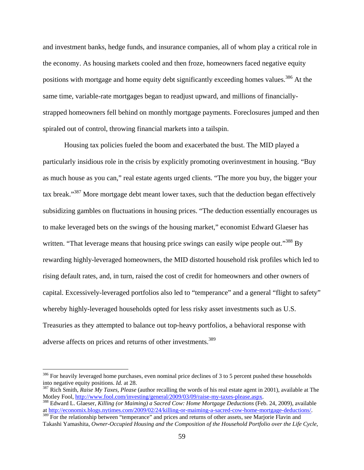and investment banks, hedge funds, and insurance companies, all of whom play a critical role in the economy. As housing markets cooled and then froze, homeowners faced negative equity positions with mortgage and home equity debt significantly exceeding homes values.<sup>386</sup> At the same time, variable-rate mortgages began to readjust upward, and millions of financiallystrapped homeowners fell behind on monthly mortgage payments. Foreclosures jumped and then spiraled out of control, throwing financial markets into a tailspin.

Housing tax policies fueled the boom and exacerbated the bust. The MID played a particularly insidious role in the crisis by explicitly promoting overinvestment in housing. "Buy as much house as you can," real estate agents urged clients. "The more you buy, the bigger your tax break."387 More mortgage debt meant lower taxes, such that the deduction began effectively subsidizing gambles on fluctuations in housing prices. "The deduction essentially encourages us to make leveraged bets on the swings of the housing market," economist Edward Glaeser has written. "That leverage means that housing price swings can easily wipe people out."<sup>388</sup> By rewarding highly-leveraged homeowners, the MID distorted household risk profiles which led to rising default rates, and, in turn, raised the cost of credit for homeowners and other owners of capital. Excessively-leveraged portfolios also led to "temperance" and a general "flight to safety" whereby highly-leveraged households opted for less risky asset investments such as U.S. Treasuries as they attempted to balance out top-heavy portfolios, a behavioral response with adverse affects on prices and returns of other investments.<sup>389</sup>

<sup>&</sup>lt;sup>386</sup> For heavily leveraged home purchases, even nominal price declines of 3 to 5 percent pushed these households into negative equity positions. *Id.* at 28.

<sup>&</sup>lt;sup>387</sup> Rich Smith, *Raise My Taxes, Please* (author recalling the words of his real estate agent in 2001), available at The Motley Fool, <u>http://www.fool.com/investing/general/2009/03/09/raise-my-taxes-please.</u> aspx.

<sup>&</sup>lt;sup>388</sup> Edward L. Glaeser, *Killing (or Maiming) a Sacred Cow: Home Mortgage Deductions* (Feb. 24, 2009), available at http://economix.blogs.nytimes.com/2009/02/24/killing-or-maiming-a-sacred-cow-home-mortgage-deductions/.

<sup>&</sup>lt;sup>389</sup> For the relationship between "temperance" and prices and returns of other assets, see Marjorie Flavin and Takashi Yamashita, *Owner-Occupied Housing and the Composition of the Household Portfolio over the Life Cycle*,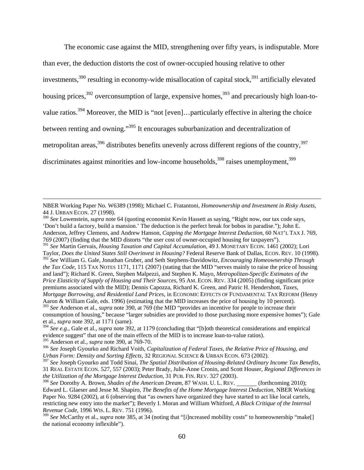The economic case against the MID, strengthening over fifty years, is indisputable. More than ever, the deduction distorts the cost of owner-occupied housing relative to other investments,  $390$  resulting in economy-wide misallocation of capital stock,  $391$  artificially elevated housing prices, $392$  overconsumption of large, expensive homes,  $393$  and precariously high loan-tovalue ratios.<sup>394</sup> Moreover, the MID is "not [even]...particularly effective in altering the choice between renting and owning."395 It encourages suburbanization and decentralization of metropolitan areas,  $396$  distributes benefits unevenly across different regions of the country,  $397$ discriminates against minorities and low-income households,  $398$  raises unemployment,  $399$ 

 NBER Working Paper No. W6389 (1998); Michael C. Fratantoni, *Homeownership and Investment in Risky Assets*, 44 J. URBAN ECON. 27 (1998).

<sup>391</sup> *See* Martin Gervais, *Housing Taxation and Capital Accumulation*, 49 J. MONETARY ECON. 1461 (2002); Lori Taylor, *Does the United States Still Overinvest in Housing?* Federal Reserve Bank of Dallas, ECON. REV. 10 (1998).

<sup>390</sup> *See* Lowenstein, *supra* note 64 (quoting economist Kevin Hassett as saying, "Right now, our tax code says, 'Don't build a factory, build a mansion.' The deduction is the perfect break for bobos in paradise."); John E. Anderson, Jeffrey Clemens, and Andrew Hanson, *Capping the Mortgage Interest Deduction*, 60 NAT'L TAX J. 769, 769 (2007) (finding that the MID distorts "the user cost of owner-occupied housing for taxpayers").

<sup>392</sup> *See* William G. Gale, Jonathan Gruber, and Seth Stephens-Davidowitz, *Encouraging Homeownership Through the Tax Code*, 115 TAX NOTES 1171, 1171 (2007) (stating that the MID "serves mainly to raise the price of housing and land"); Richard K. Green, Stephen Malpezzi, and Stephen K. Mayo, *Metropolitan-Specific Estimates of the Price Elasticity of Supply of Housing and Their Sources*, 95 AM. ECON. REV. 334 (2005) (finding significant price premiums associated with the MID); Dennis Capozza, Richard K. Green, and Patric H. Hendershott, *Taxes, Mortgage Borrowing, and Residential Land Prices*, in ECONOMIC EFFECTS OF FUNDAMENTAL TAX REFORM (Henry Aaron & William Gale, eds. 1996) (estimating that the MID increases the price of housing by 10 percent).

<sup>393</sup> *See* Anderson et al., *supra* note 390, at 769 (the MID "provides an incentive for people to increase their consumption of housing," because "larger subsidies are provided to those purchasing more expensive homes"); Gale et al., *supra* note 392, at 1171 (same).

<sup>394</sup> *See e.g.*, Gale et al., *supra* note 392, at 1179 (concluding that "[b]oth theoretical considerations and empirical evidence suggest" that one of the main effects of the MID is to increase loan-to-value ratios). 395 Anderson et al., *supra* note 390, at 769-70.

<sup>396</sup> *See* Joseph Gyourko and Richard Voith, *Capitalization of Federal Taxes, the Relative Price of Housing, and Urban Form: Density and Sorting Effects*, 32 REGIONAL SCIENCE & URBAN ECON. 673 (2002).

<sup>397</sup> *See* Joseph Gyourko and Todd Sinai, *The Spatial Distribution of Housing-Related Ordinary Income Tax Benefits*, 31 REAL ESTATE ECON. 527, 557 (2003); Peter Brady, Julie-Anne Cronin, and Scott Houser, *Regional Differences in the Utilization of the Mortgage Interest Deduction*, 31 PUB. FIN. REV. 327 (2003).

<sup>398</sup> *See* Dorothy A. Brown, *Shades of the American Dream*, 87 WASH. U. L. REV. (forthcoming 2010); Edward L. Glaeser and Jesse M. Shapiro, *The Benefits of the Home Mortgage Interest Deduction*, NBER Working Paper No. 9284 (2002), at 6 (observing that "as owners have organized they have started to act like local cartels, restricting new entry into the market"); Beverly I. Moran and William Whitford, *A Black Critique of the Internal Revenue Code*, 1996 WIS. L. REV. 751 (1996).

<sup>399</sup> *See* McCarthy et al., *supra* note 385, at 34 (noting that "[i]ncreased mobility costs" to homeownership "make[] the national economy inflexible").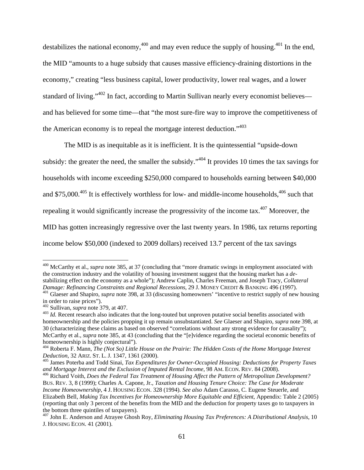destabilizes the national economy,  $400$  and may even reduce the supply of housing.  $401$  In the end, the MID "amounts to a huge subsidy that causes massive efficiency-draining distortions in the economy," creating "less business capital, lower productivity, lower real wages, and a lower standard of living."<sup>402</sup> In fact, according to Martin Sullivan nearly every economist believes and has believed for some time—that "the most sure-fire way to improve the competitiveness of the American economy is to repeal the mortgage interest deduction."403

The MID is as inequitable as it is inefficient. It is the quintessential "upside-down subsidy: the greater the need, the smaller the subsidy."<sup>404</sup> It provides 10 times the tax savings for households with income exceeding \$250,000 compared to households earning between \$40,000 and \$75,000.<sup>405</sup> It is effectively worthless for low- and middle-income households,  $406$  such that repealing it would significantly increase the progressivity of the income tax.407 Moreover, the MID has gotten increasingly regressive over the last twenty years. In 1986, tax returns reporting income below \$50,000 (indexed to 2009 dollars) received 13.7 percent of the tax savings

<sup>400</sup> McCarthy et al., *supra* note 385, at 37 (concluding that "more dramatic swings in employment associated with the construction industry and the volatility of housing investment suggest that the housing market has a *de*stabilizing effect on the economy as a whole"); Andrew Caplin, Charles Freeman, and Joseph Tracy, *Collateral* 

<sup>&</sup>lt;sup>401</sup> Glaeser and Shapiro, *supra* note 398, at 33 (discussing homeowners' "incentive to restrict supply of new housing in order to raise prices").<br> $402$  Sullivan, *supra* note 379, at 407.

 $^{403}$  Id. Recent research also indicates that the long-touted but unproven putative social benefits associated with homeownership and the policies propping it up remain unsubstantiated. *See* Glaeser and Shapiro, *supra* note 398, at 30 (characterizing these claims as based on observed "correlations without any strong evidence for causality"); McCarthy et al., *supra* note 385, at 43 (concluding that the "[e]vidence regarding the societal economic benefits of homeownership is highly conjectural").

<sup>&</sup>lt;sup>404</sup> Roberta F. Mann, *The (Not So) Little House on the Prairie: The Hidden Costs of the Home Mortgage Interest* 

*Deduction*, 32 ARIZ. ST. L. J. 1347, 1361 (2000).<br><sup>405</sup> James Poterba and Todd Sinai, *Tax Expenditures for Owner-Occupied Housing: Deductions for Property Taxes and Mortgage Interest and the Exclusion of Imputed Rental I* 

<sup>&</sup>lt;sup>406</sup> Richard Voith, *Does the Federal Tax Treatment of Housing Affect the Pattern of Metropolitan Development?* BUS. REV. 3, 8 (1999); Charles A. Capone, Jr., *Taxation and Housing Tenure Choice: The Case for Moderate Income Homeownership*, 4 J. HOUSING ECON. 328 (1994). *See also* Adam Carasso, C. Eugene Steuerle, and Elizabeth Bell, *Making Tax Incentives for Homeownership More Equitable and Efficient*, Appendix: Table 2 (2005) (reporting that only 3 percent of the benefits from the MID and the deduction for property taxes go to taxpayers in the bottom three quintiles of taxpayers).

<sup>407</sup> John E. Anderson and Atrayee Ghosh Roy, *Eliminating Housing Tax Preferences: A Distributional Analysis*, 10 J. HOUSING ECON. 41 (2001).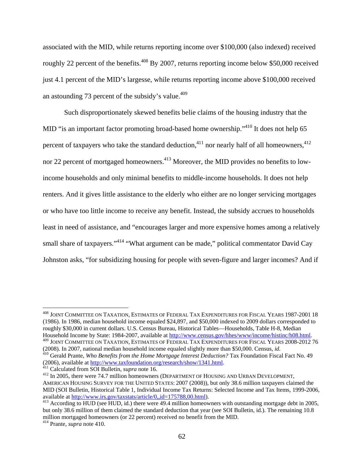associated with the MID, while returns reporting income over \$100,000 (also indexed) received roughly 22 percent of the benefits.<sup> $408$ </sup> By 2007, returns reporting income below \$50,000 received just 4.1 percent of the MID's largesse, while returns reporting income above \$100,000 received an astounding 73 percent of the subsidy's value. $409$ 

Such disproportionately skewed benefits belie claims of the housing industry that the MID "is an important factor promoting broad-based home ownership."<sup>410</sup> It does not help 65 percent of taxpayers who take the standard deduction,<sup>411</sup> nor nearly half of all homeowners,<sup>412</sup> nor 22 percent of mortgaged homeowners.<sup>413</sup> Moreover, the MID provides no benefits to lowincome households and only minimal benefits to middle-income households. It does not help renters. And it gives little assistance to the elderly who either are no longer servicing mortgages or who have too little income to receive any benefit. Instead, the subsidy accrues to households least in need of assistance, and "encourages larger and more expensive homes among a relatively small share of taxpayers."<sup>414</sup> "What argument can be made," political commentator David Cay Johnston asks, "for subsidizing housing for people with seven-figure and larger incomes? And if

(2008). In 2007, national median household income equaled slightly more than \$50,000. Census, *id.* 410 Gerald Prante, *Who Benefits from the Home Mortgage Interest Deduction?* Tax Foundation Fiscal Fact No. 49

(2006), available at http://www.taxfoundation.org/research/show/1341.html. 411 Calculated from SOI Bulletin, *supra* note 16. 412 In 2005, there were 74.7 million homeowners (DEPARTMENT OF HOUSING AND URBAN DEVELOPMENT,

<sup>408</sup> JOINT COMMITTEE ON TAXATION, ESTIMATES OF FEDERAL TAX EXPENDITURES FOR FISCAL YEARS 1987-2001 18 (1986). In 1986, median household income equaled \$24,897, and \$50,000 indexed to 2009 dollars corresponded to roughly \$30,000 in current dollars. U.S. Census Bureau, Historical Tables—Households, Table H-8, Median Household Income by State: 1984-2007, available at http://www.census.gov/hhes/www/income/histinc/h08.html. 409 JOINT COMMITTEE ON TAXATION, ESTIMATES OF FEDERAL TAX EXPENDITURES FOR FISCAL YEARS 2008-2012 76

AMERICAN HOUSING SURVEY FOR THE UNITED STATES: 2007 (2008)), but only 38.6 million taxpayers claimed the MID (SOI Bulletin, Historical Table 1, Individual Income Tax Returns: Selected Income and Tax Items, 1999-2006, available at http://www.irs.gov/taxstats/article/0,,id=175788,00.html).<br><sup>413</sup> According to HUD (see HUD, id.) there were 49.4 million homeowners with outstanding mortgage debt in 2005,

but only 38.6 million of them claimed the standard deduction that year (see SOI Bulletin, id.). The remaining 10.8 million mortgaged homeowners (or 22 percent) received no benefit from the MID. 414 Prante, *supra* note 410.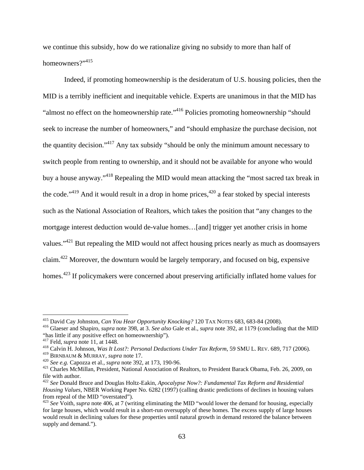we continue this subsidy, how do we rationalize giving no subsidy to more than half of homeowners?"<sup>415</sup>

Indeed, if promoting homeownership is the desideratum of U.S. housing policies, then the MID is a terribly inefficient and inequitable vehicle. Experts are unanimous in that the MID has "almost no effect on the homeownership rate."<sup>416</sup> Policies promoting homeownership "should seek to increase the number of homeowners," and "should emphasize the purchase decision, not the quantity decision."417 Any tax subsidy "should be only the minimum amount necessary to switch people from renting to ownership, and it should not be available for anyone who would buy a house anyway."418 Repealing the MID would mean attacking the "most sacred tax break in the code."<sup>419</sup> And it would result in a drop in home prices,<sup>420</sup> a fear stoked by special interests such as the National Association of Realtors, which takes the position that "any changes to the mortgage interest deduction would de-value homes…[and] trigger yet another crisis in home values."421 But repealing the MID would not affect housing prices nearly as much as doomsayers claim.422 Moreover, the downturn would be largely temporary, and focused on big, expensive homes.<sup>423</sup> If policymakers were concerned about preserving artificially inflated home values for

<sup>&</sup>lt;sup>415</sup> David Cay Johnston, *Can You Hear Opportunity Knocking*? 120 TAX NOTES 683, 683-84 (2008).

<sup>&</sup>lt;sup>416</sup> Glaeser and Shapiro, *supra* note 398, at 3. See also Gale et al., *supra* note 392, at 1179 (concluding that the MID "has little if any positive effect on homeownership").<br> $417$  Feld, *supra* note 11, at 1448.

<sup>&</sup>lt;sup>418</sup> Calvin H. Johnson, *Was It Lost?: Personal Deductions Under Tax Reform*, 59 SMU L. REV. 689, 717 (2006).<br><sup>419</sup> BIRNBAUM & MURRAY, *supra* note 17.

<sup>&</sup>lt;sup>420</sup> See e.g. Capozza et al., *supra* note 392, at 173, 190-96.<br><sup>421</sup> Charles McMillan, President, National Association of Realtors, to President Barack Obama, Feb. 26, 2009, on file with author.

<sup>422</sup> *See* Donald Bruce and Douglas Holtz-Eakin, *Apocalypse Now?: Fundamental Tax Reform and Residential Housing Values*, NBER Working Paper No. 6282 (1997) (calling drastic predictions of declines in housing values from repeal of the MID "overstated").

<sup>423</sup> *See* Voith, *supra* note 406, at 7 (writing eliminating the MID "would lower the demand for housing, especially for large houses, which would result in a short-run oversupply of these homes. The excess supply of large houses would result in declining values for these properties until natural growth in demand restored the balance between supply and demand.").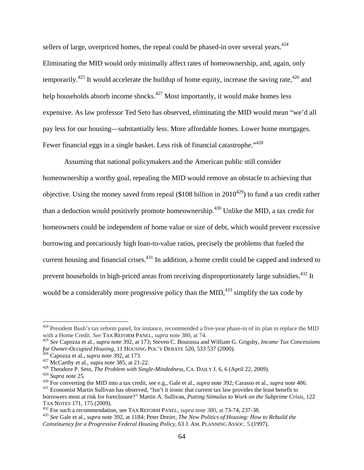sellers of large, overpriced homes, the repeal could be phased-in over several years.<sup>424</sup> Eliminating the MID would only minimally affect rates of homeownership, and, again, only temporarily.<sup>425</sup> It would accelerate the buildup of home equity, increase the saving rate.<sup>426</sup> and help households absorb income shocks.<sup>427</sup> Most importantly, it would make homes less expensive. As law professor Ted Seto has observed, eliminating the MID would mean "we'd all pay less for our housing—substantially less. More affordable homes. Lower home mortgages. Fewer financial eggs in a single basket. Less risk of financial catastrophe."<sup>428</sup>

Assuming that national policymakers and the American public still consider homeownership a worthy goal, repealing the MID would remove an obstacle to achieving that objective. Using the money saved from repeal (\$108 billion in  $2010^{429}$ ) to fund a tax credit rather than a deduction would positively promote homeownership.<sup>430</sup> Unlike the MID, a tax credit for homeowners could be independent of home value or size of debt, which would prevent excessive borrowing and precariously high loan-to-value ratios, precisely the problems that fueled the current housing and financial crises.<sup>431</sup> In addition, a home credit could be capped and indexed to prevent households in high-priced areas from receiving disproportionately large subsidies.<sup>432</sup> It would be a considerably more progressive policy than the MID,  $433$  simplify the tax code by

<sup>&</sup>lt;sup>424</sup> President Bush's tax reform panel, for instance, recommended a five-year phase-in of its plan to replace the MID with a Home Credit. *See* TAX REFORM PANEL, *supra* note 380, at 74.<br><sup>425</sup> *See* Capozza et al., *supra* note 392, at 173; Steven C. Bourassa and William G. Grigsby, *Income Tax Concessions* 

for Owner-Occupied Housing, 11 HOUSING POL'Y DEBATE 520, 533 537 (2000).<br>
<sup>426</sup> Capozza et al., *supra* note 392, at 173.<br>
<sup>427</sup> McCarthy et al., *supra* note 385, at 21-22.<br>
<sup>428</sup> Theodore P. Seto, *The Problem with Sing* 

<sup>&</sup>lt;sup>430</sup> For converting the MID into a tax credit, see e.g., Gale et al., *supra* note 392; Carasso et al., *supra* note 406.<br><sup>431</sup> Economist Martin Sullivan has observed, "Isn't it ironic that current tax law provides the l borrowers most at risk for foreclosure?" Martin A. Sullivan, *Putting Stimulus to Work on the Subprime Crisis*, 122 TAX NOTES 171, 175 (2009).<br><sup>432</sup> For such a recommendation, see TAX REFORM PANEL, *supra* note 380, at 73-74, 237-38.<br><sup>433</sup> See Gale et al., *supra* note 392, at 1184; Peter Dreier, *The New Politics of Housing: How to Reb* 

*Constituency for a Progressive Federal Housing Policy*, 63 J. AM. PLANNING ASSOC. 5 (1997).